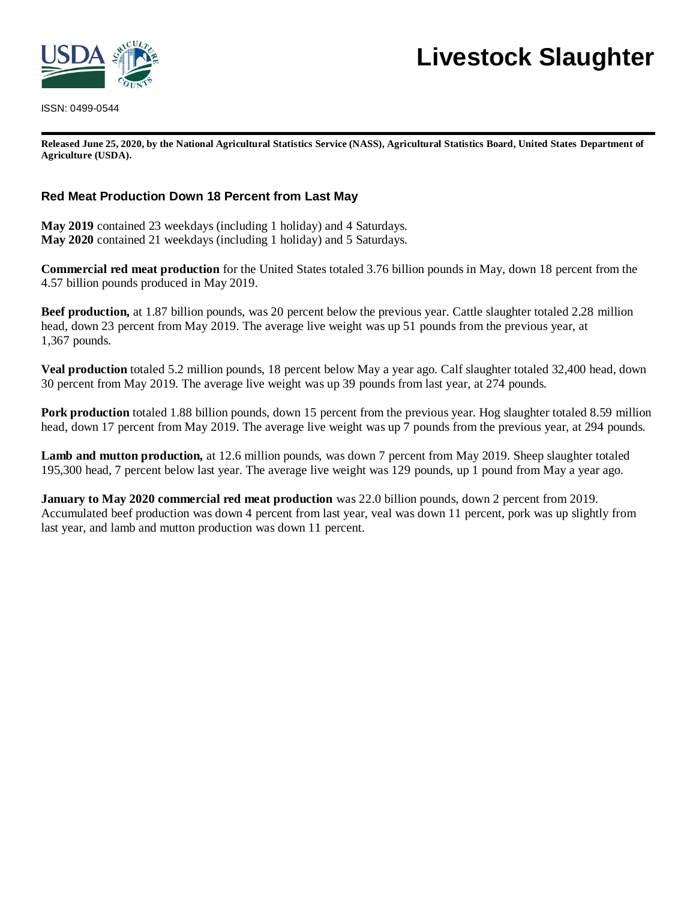

ISSN: 0499-0544

# **Livestock Slaughter**

**Released June 25, 2020, by the National Agricultural Statistics Service (NASS), Agricultural Statistics Board, United States Department of Agriculture (USDA).**

# **Red Meat Production Down 18 Percent from Last May**

**May 2019** contained 23 weekdays (including 1 holiday) and 4 Saturdays. **May 2020** contained 21 weekdays (including 1 holiday) and 5 Saturdays.

**Commercial red meat production** for the United States totaled 3.76 billion pounds in May, down 18 percent from the 4.57 billion pounds produced in May 2019.

**Beef production,** at 1.87 billion pounds, was 20 percent below the previous year. Cattle slaughter totaled 2.28 million head, down 23 percent from May 2019. The average live weight was up 51 pounds from the previous year, at 1,367 pounds.

**Veal production** totaled 5.2 million pounds, 18 percent below May a year ago. Calf slaughter totaled 32,400 head, down 30 percent from May 2019. The average live weight was up 39 pounds from last year, at 274 pounds.

**Pork production** totaled 1.88 billion pounds, down 15 percent from the previous year. Hog slaughter totaled 8.59 million head, down 17 percent from May 2019. The average live weight was up 7 pounds from the previous year, at 294 pounds.

Lamb and mutton production, at 12.6 million pounds, was down 7 percent from May 2019. Sheep slaughter totaled 195,300 head, 7 percent below last year. The average live weight was 129 pounds, up 1 pound from May a year ago.

**January to May 2020 commercial red meat production** was 22.0 billion pounds, down 2 percent from 2019. Accumulated beef production was down 4 percent from last year, veal was down 11 percent, pork was up slightly from last year, and lamb and mutton production was down 11 percent.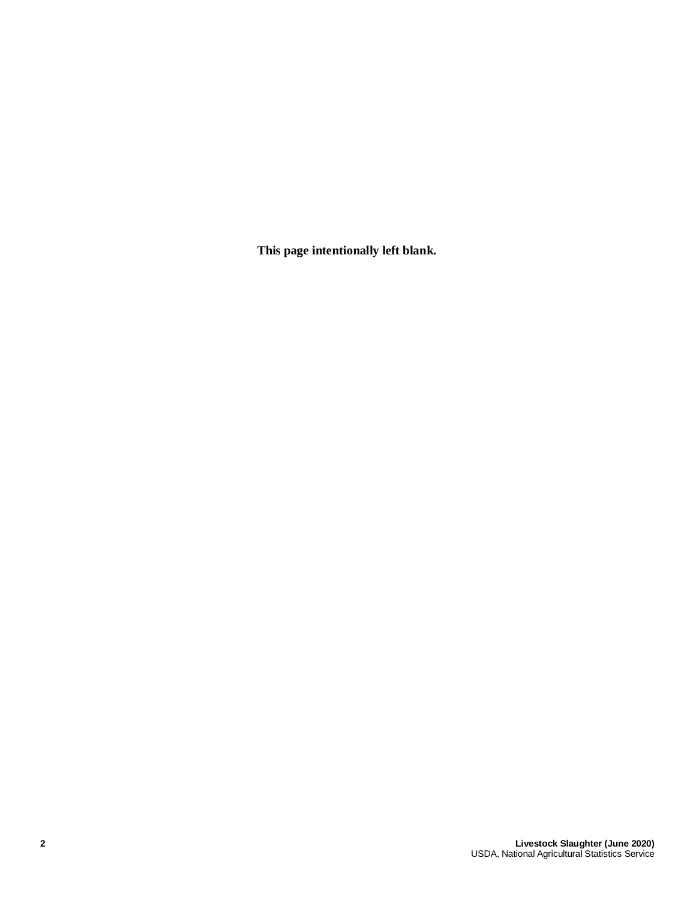**This page intentionally left blank.**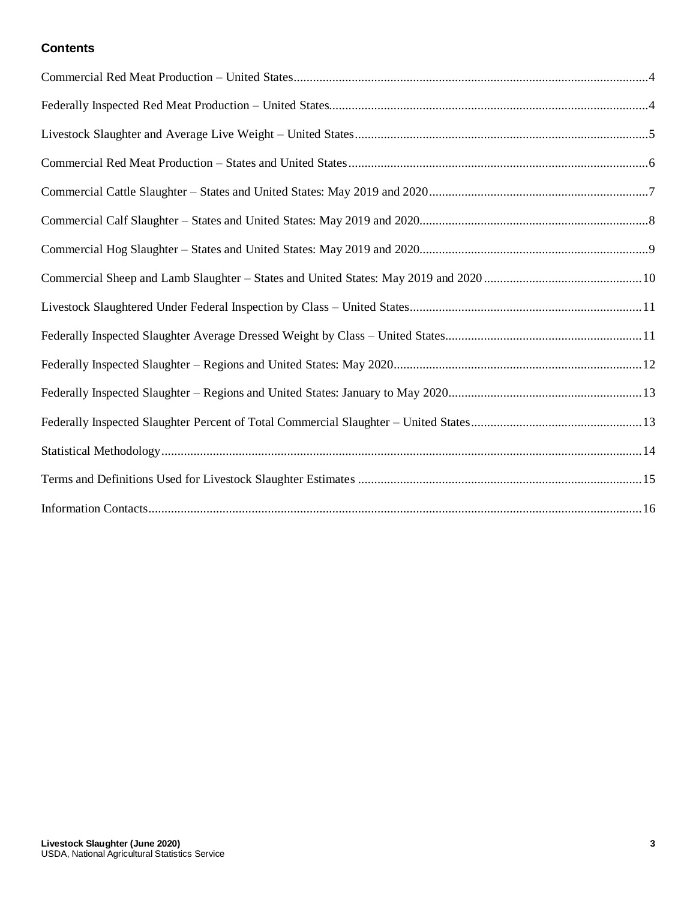#### **Contents**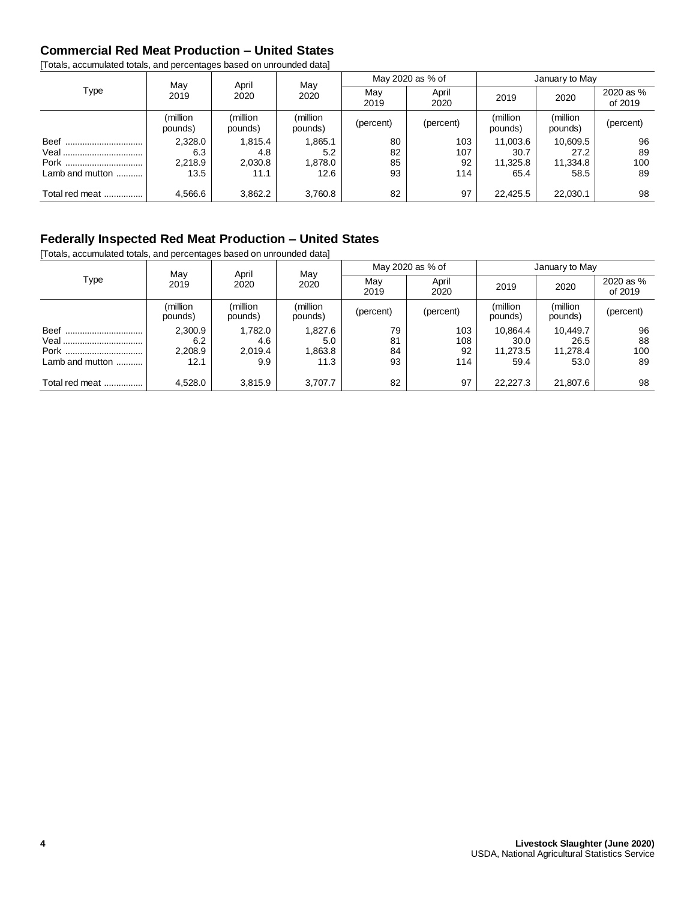# **Commercial Red Meat Production – United States**

[Totals, accumulated totals, and percentages based on unrounded data]

|                 | May                 | April               | May                 |             | May 2020 as % of | January to May       |                     |                      |  |
|-----------------|---------------------|---------------------|---------------------|-------------|------------------|----------------------|---------------------|----------------------|--|
| Type            | 2019                | 2020                | 2020                | Mav<br>2019 | April<br>2020    | 2020<br>2019         |                     | 2020 as %<br>of 2019 |  |
|                 | (million<br>pounds) | (million<br>pounds) | (million<br>pounds) | (percent)   | (percent)        | (million)<br>pounds) | (million<br>pounds) | (percent)            |  |
| <b>Beef</b>     | 2,328.0             | 1,815.4             | 1,865.1             | 80          | 103              | 11,003.6             | 10,609.5            | 96                   |  |
| Veal            | 6.3                 | 4.8                 | 5.2                 | 82          | 107              | 30.7                 | 27.2                | 89                   |  |
| Pork            | 2,218.9             | 2,030.8             | 1,878.0             | 85          | 92               | 11,325.8             | 11,334.8            | 100                  |  |
| Lamb and mutton | 13.5                | 11.1                | 12.6                | 93          | 114              | 65.4                 | 58.5                | 89                   |  |
|                 |                     |                     |                     |             |                  |                      |                     |                      |  |
| Total red meat  | 4,566.6             | 3,862.2             | 3,760.8             | 82          | 97               | 22.425.5             | 22,030.1            | 98                   |  |

# **Federally Inspected Red Meat Production – United States**

[Totals, accumulated totals, and percentages based on unrounded data]

| Type                    | Mav                 | April               | May                 |             | May 2020 as % of | January to May       |                     |                      |  |
|-------------------------|---------------------|---------------------|---------------------|-------------|------------------|----------------------|---------------------|----------------------|--|
|                         | 2019                | 2020                | 2020                | Mav<br>2019 | April<br>2020    | 2019                 | 2020                | 2020 as %<br>of 2019 |  |
|                         | million)<br>pounds) | million)<br>pounds) | (million<br>pounds) | (percent)   | (percent)        | (million)<br>pounds) | (million<br>pounds) | (percent)            |  |
| <b>Beef</b><br><br>Veal | 2,300.9<br>6.2      | 1,782.0<br>4.6      | 1,827.6<br>5.0      | 79<br>81    | 103<br>108       | 10,864.4<br>30.0     | 10,449.7<br>26.5    | 96<br>88             |  |
| Pork                    | 2,208.9             | 2,019.4             | 1,863.8             | 84          | 92               | 11,273.5             | 11,278.4            | 100                  |  |
| Lamb and mutton         | 12.1                | 9.9                 | 11.3                | 93          | 114              | 59.4                 | 53.0                | 89                   |  |
| Total red meat          | 4,528.0             | 3,815.9             | 3,707.7             | 82          | 97               | 22.227.3             | 21,807.6            | 98                   |  |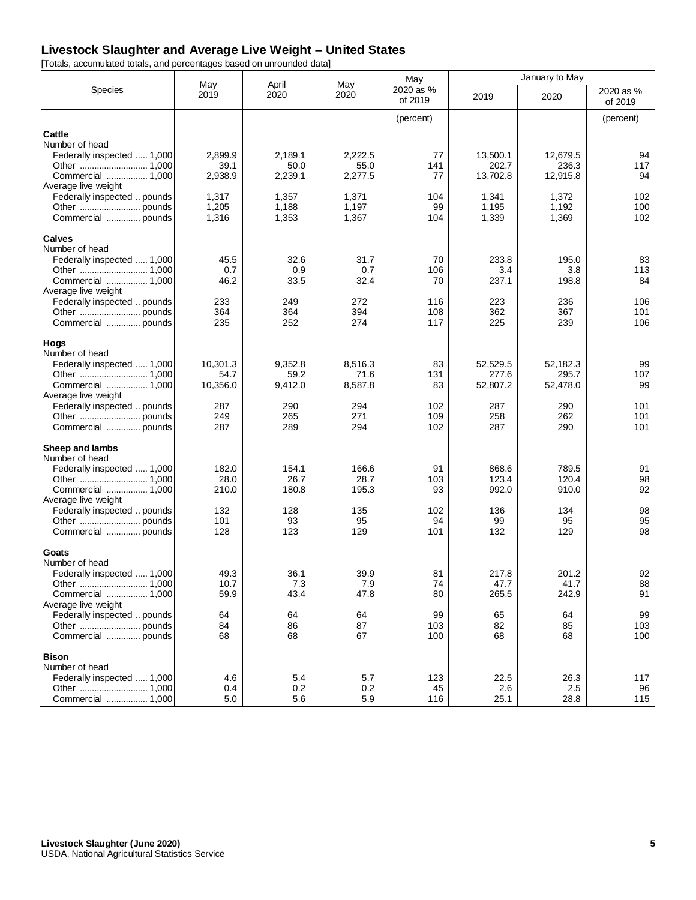# **Livestock Slaughter and Average Live Weight – United States**

[Totals, accumulated totals, and percentages based on unrounded data]

|                                                    |                |                |                | May                  |                | January to May |                      |
|----------------------------------------------------|----------------|----------------|----------------|----------------------|----------------|----------------|----------------------|
| Species                                            | May<br>2019    | April<br>2020  | May<br>2020    | 2020 as %<br>of 2019 | 2019           | 2020           | 2020 as %<br>of 2019 |
|                                                    |                |                |                | (percent)            |                |                | (percent)            |
| Cattle                                             |                |                |                |                      |                |                |                      |
| Number of head                                     |                |                |                |                      |                |                |                      |
| Federally inspected  1,000                         | 2,899.9        | 2,189.1        | 2,222.5        | 77                   | 13,500.1       | 12,679.5       | 94                   |
|                                                    | 39.1           | 50.0           | 55.0           | 141                  | 202.7          | 236.3          | 117                  |
| Commercial  1,000                                  | 2,938.9        | 2,239.1        | 2,277.5        | 77                   | 13,702.8       | 12,915.8       | 94                   |
| Average live weight                                |                |                |                |                      |                |                |                      |
| Federally inspected  pounds                        | 1,317<br>1,205 | 1,357<br>1,188 | 1,371<br>1,197 | 104<br>99            | 1,341<br>1,195 | 1,372<br>1,192 | 102<br>100           |
| Commercial  pounds                                 | 1,316          | 1,353          | 1,367          | 104                  | 1,339          | 1,369          | 102                  |
|                                                    |                |                |                |                      |                |                |                      |
| Calves                                             |                |                |                |                      |                |                |                      |
| Number of head                                     |                |                |                |                      |                |                |                      |
| Federally inspected  1,000                         | 45.5           | 32.6           | 31.7           | 70                   | 233.8          | 195.0          | 83                   |
|                                                    | 0.7            | 0.9            | 0.7            | 106                  | 3.4            | 3.8            | 113                  |
| Commercial  1,000                                  | 46.2           | 33.5           | 32.4           | 70                   | 237.1          | 198.8          | 84                   |
| Average live weight<br>Federally inspected  pounds | 233            | 249            | 272            | 116                  | 223            | 236            | 106                  |
|                                                    | 364            | 364            | 394            | 108                  | 362            | 367            | 101                  |
| Commercial  pounds                                 | 235            | 252            | 274            | 117                  | 225            | 239            | 106                  |
|                                                    |                |                |                |                      |                |                |                      |
| Hogs                                               |                |                |                |                      |                |                |                      |
| Number of head                                     |                |                |                |                      |                |                |                      |
| Federally inspected  1,000                         | 10,301.3       | 9,352.8        | 8,516.3        | 83                   | 52,529.5       | 52,182.3       | 99                   |
|                                                    | 54.7           | 59.2           | 71.6           | 131                  | 277.6          | 295.7          | 107                  |
| Commercial  1,000                                  | 10,356.0       | 9,412.0        | 8,587.8        | 83                   | 52,807.2       | 52,478.0       | 99                   |
| Average live weight<br>Federally inspected  pounds | 287            | 290            | 294            | 102                  | 287            | 290            | 101                  |
|                                                    | 249            | 265            | 271            | 109                  | 258            | 262            | 101                  |
| Commercial  pounds                                 | 287            | 289            | 294            | 102                  | 287            | 290            | 101                  |
|                                                    |                |                |                |                      |                |                |                      |
| Sheep and lambs                                    |                |                |                |                      |                |                |                      |
| Number of head                                     |                |                |                |                      |                |                |                      |
| Federally inspected  1,000                         | 182.0          | 154.1          | 166.6          | 91                   | 868.6          | 789.5          | 91                   |
|                                                    | 28.0           | 26.7           | 28.7           | 103                  | 123.4<br>992.0 | 120.4          | 98<br>92             |
| Commercial  1,000<br>Average live weight           | 210.0          | 180.8          | 195.3          | 93                   |                | 910.0          |                      |
| Federally inspected  pounds                        | 132            | 128            | 135            | 102                  | 136            | 134            | 98                   |
|                                                    | 101            | 93             | 95             | 94                   | 99             | 95             | 95                   |
| Commercial  pounds                                 | 128            | 123            | 129            | 101                  | 132            | 129            | 98                   |
|                                                    |                |                |                |                      |                |                |                      |
| Goats                                              |                |                |                |                      |                |                |                      |
| Number of head                                     |                |                |                |                      |                |                |                      |
| Federally inspected  1,000                         | 49.3           | 36.1           | 39.9           | 81                   | 217.8          | 201.2          | 92                   |
| Commercial  1,000                                  | 10.7<br>59.9   | 7.3<br>43.4    | 7.9<br>47.8    | 74<br>80             | 47.7<br>265.5  | 41.7<br>242.9  | 88<br>91             |
| Average live weight                                |                |                |                |                      |                |                |                      |
| Federally inspected  pounds                        | 64             | 64             | 64             | 99                   | 65             | 64             | 99                   |
|                                                    | 84             | 86             | 87             | 103                  | 82             | 85             | 103                  |
| Commercial  pounds                                 | 68             | 68             | 67             | 100                  | 68             | 68             | 100                  |
|                                                    |                |                |                |                      |                |                |                      |
| <b>Bison</b>                                       |                |                |                |                      |                |                |                      |
| Number of head                                     |                |                |                |                      |                |                |                      |
| Federally inspected  1,000                         | 4.6<br>0.4     | 5.4<br>0.2     | 5.7<br>0.2     | 123<br>45            | 22.5<br>2.6    | 26.3<br>2.5    | 117<br>96            |
| Commercial  1,000                                  | 5.0            | 5.6            | 5.9            | 116                  | 25.1           | 28.8           | 115                  |
|                                                    |                |                |                |                      |                |                |                      |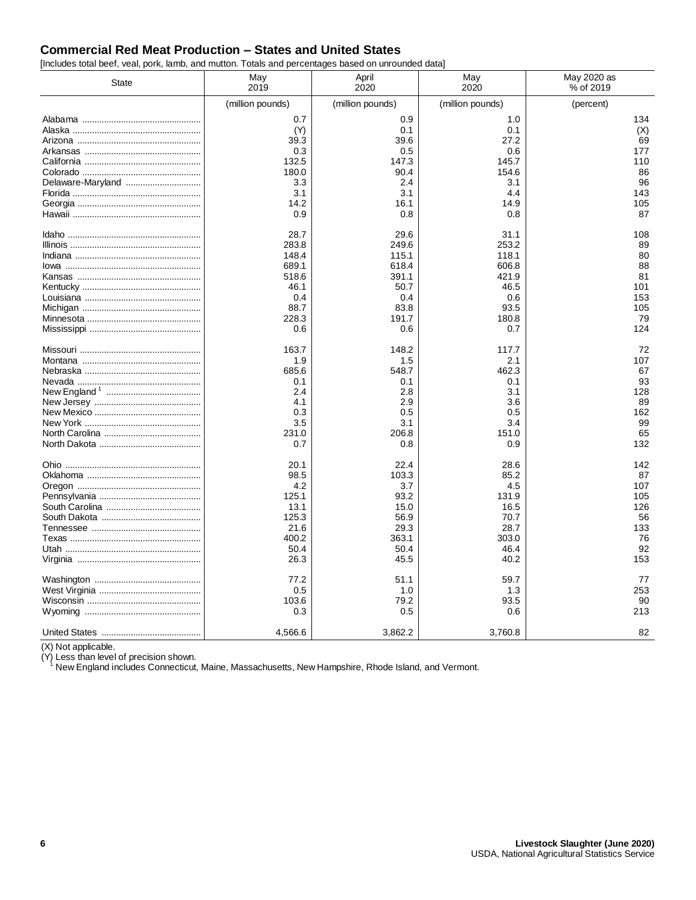#### **Commercial Red Meat Production – States and United States**

[Includes total beef, veal, pork, lamb, and mutton. Totals and percentages based on unrounded data]

| (million pounds)<br>(million pounds)<br>(million pounds)<br>(percent)<br>0.9<br>0.7<br>1.0<br>(Y)<br>0.1<br>0.1<br>27.2<br>39.3<br>39.6<br>0.3<br>0.5<br>0.6<br>132.5<br>145.7<br>147.3<br>180.0<br>90.4<br>154.6<br>3.3<br>2.4<br>3.1<br>3.1<br>3.1<br>4.4<br>14.2<br>16.1<br>14.9<br>0.9<br>0.8<br>0.8<br>29.6<br>28.7<br>31.1<br>283.8<br>249.6<br>253.2<br>115.1<br>118.1<br>148.4<br>689.1<br>618.4<br>606.8<br>518.6<br>391.1<br>421.9<br>46.1<br>50.7<br>46.5<br>0.4<br>0.4<br>0.6<br>88.7<br>83.8<br>93.5<br>228.3<br>191.7<br>180.8<br>0.6<br>0.6<br>0.7<br>148.2<br>163.7<br>117.7<br>2.1<br>1.9<br>1.5<br>685.6<br>548.7<br>462.3<br>0.1<br>0.1<br>0.1<br>93<br>2.4<br>2.8<br>3.1<br>128<br>4.1<br>2.9<br>3.6<br>162<br>0.3<br>0.5<br>0.5<br>99<br>3.5<br>3.1<br>3.4<br>231.0<br>206.8<br>65<br>151.0<br>132<br>0.7<br>0.8<br>0.9<br>20.1<br>22.4<br>28.6<br>98.5<br>103.3<br>85.2<br>3.7<br>4.5<br>4.2<br>125.1<br>93.2<br>131.9<br>13.1<br>15.0<br>16.5<br>125.3<br>56.9<br>70.7<br>21.6<br>29.3<br>28.7<br>133<br>400.2<br>363.1<br>303.0<br>50.4<br>50.4<br>46.4<br>45.5<br>153<br>26.3<br>40.2<br>77.2<br>51.1<br>59.7<br>0.5<br>1.0<br>1.3<br>103.6<br>79.2<br>93.5 | <b>State</b> | May<br>2019 | April<br>2020 | May<br>2020 | May 2020 as<br>% of 2019 |
|--------------------------------------------------------------------------------------------------------------------------------------------------------------------------------------------------------------------------------------------------------------------------------------------------------------------------------------------------------------------------------------------------------------------------------------------------------------------------------------------------------------------------------------------------------------------------------------------------------------------------------------------------------------------------------------------------------------------------------------------------------------------------------------------------------------------------------------------------------------------------------------------------------------------------------------------------------------------------------------------------------------------------------------------------------------------------------------------------------------------------------------------------------------------------------------|--------------|-------------|---------------|-------------|--------------------------|
|                                                                                                                                                                                                                                                                                                                                                                                                                                                                                                                                                                                                                                                                                                                                                                                                                                                                                                                                                                                                                                                                                                                                                                                      |              |             |               |             |                          |
|                                                                                                                                                                                                                                                                                                                                                                                                                                                                                                                                                                                                                                                                                                                                                                                                                                                                                                                                                                                                                                                                                                                                                                                      |              |             |               |             | 134                      |
|                                                                                                                                                                                                                                                                                                                                                                                                                                                                                                                                                                                                                                                                                                                                                                                                                                                                                                                                                                                                                                                                                                                                                                                      |              |             |               |             | (X)                      |
|                                                                                                                                                                                                                                                                                                                                                                                                                                                                                                                                                                                                                                                                                                                                                                                                                                                                                                                                                                                                                                                                                                                                                                                      |              |             |               |             | 69                       |
|                                                                                                                                                                                                                                                                                                                                                                                                                                                                                                                                                                                                                                                                                                                                                                                                                                                                                                                                                                                                                                                                                                                                                                                      |              |             |               |             | 177                      |
|                                                                                                                                                                                                                                                                                                                                                                                                                                                                                                                                                                                                                                                                                                                                                                                                                                                                                                                                                                                                                                                                                                                                                                                      |              |             |               |             | 110                      |
|                                                                                                                                                                                                                                                                                                                                                                                                                                                                                                                                                                                                                                                                                                                                                                                                                                                                                                                                                                                                                                                                                                                                                                                      |              |             |               |             | 86                       |
|                                                                                                                                                                                                                                                                                                                                                                                                                                                                                                                                                                                                                                                                                                                                                                                                                                                                                                                                                                                                                                                                                                                                                                                      |              |             |               |             | 96                       |
|                                                                                                                                                                                                                                                                                                                                                                                                                                                                                                                                                                                                                                                                                                                                                                                                                                                                                                                                                                                                                                                                                                                                                                                      |              |             |               |             | 143                      |
|                                                                                                                                                                                                                                                                                                                                                                                                                                                                                                                                                                                                                                                                                                                                                                                                                                                                                                                                                                                                                                                                                                                                                                                      |              |             |               |             | 105                      |
|                                                                                                                                                                                                                                                                                                                                                                                                                                                                                                                                                                                                                                                                                                                                                                                                                                                                                                                                                                                                                                                                                                                                                                                      |              |             |               |             | 87                       |
|                                                                                                                                                                                                                                                                                                                                                                                                                                                                                                                                                                                                                                                                                                                                                                                                                                                                                                                                                                                                                                                                                                                                                                                      |              |             |               |             |                          |
|                                                                                                                                                                                                                                                                                                                                                                                                                                                                                                                                                                                                                                                                                                                                                                                                                                                                                                                                                                                                                                                                                                                                                                                      |              |             |               |             | 108                      |
|                                                                                                                                                                                                                                                                                                                                                                                                                                                                                                                                                                                                                                                                                                                                                                                                                                                                                                                                                                                                                                                                                                                                                                                      |              |             |               |             | 89                       |
|                                                                                                                                                                                                                                                                                                                                                                                                                                                                                                                                                                                                                                                                                                                                                                                                                                                                                                                                                                                                                                                                                                                                                                                      |              |             |               |             | 80                       |
|                                                                                                                                                                                                                                                                                                                                                                                                                                                                                                                                                                                                                                                                                                                                                                                                                                                                                                                                                                                                                                                                                                                                                                                      |              |             |               |             | 88                       |
|                                                                                                                                                                                                                                                                                                                                                                                                                                                                                                                                                                                                                                                                                                                                                                                                                                                                                                                                                                                                                                                                                                                                                                                      |              |             |               |             | 81                       |
|                                                                                                                                                                                                                                                                                                                                                                                                                                                                                                                                                                                                                                                                                                                                                                                                                                                                                                                                                                                                                                                                                                                                                                                      |              |             |               |             | 101                      |
|                                                                                                                                                                                                                                                                                                                                                                                                                                                                                                                                                                                                                                                                                                                                                                                                                                                                                                                                                                                                                                                                                                                                                                                      |              |             |               |             | 153                      |
|                                                                                                                                                                                                                                                                                                                                                                                                                                                                                                                                                                                                                                                                                                                                                                                                                                                                                                                                                                                                                                                                                                                                                                                      |              |             |               |             | 105                      |
|                                                                                                                                                                                                                                                                                                                                                                                                                                                                                                                                                                                                                                                                                                                                                                                                                                                                                                                                                                                                                                                                                                                                                                                      |              |             |               |             | 79                       |
|                                                                                                                                                                                                                                                                                                                                                                                                                                                                                                                                                                                                                                                                                                                                                                                                                                                                                                                                                                                                                                                                                                                                                                                      |              |             |               |             | 124                      |
|                                                                                                                                                                                                                                                                                                                                                                                                                                                                                                                                                                                                                                                                                                                                                                                                                                                                                                                                                                                                                                                                                                                                                                                      |              |             |               |             | 72                       |
|                                                                                                                                                                                                                                                                                                                                                                                                                                                                                                                                                                                                                                                                                                                                                                                                                                                                                                                                                                                                                                                                                                                                                                                      |              |             |               |             | 107                      |
|                                                                                                                                                                                                                                                                                                                                                                                                                                                                                                                                                                                                                                                                                                                                                                                                                                                                                                                                                                                                                                                                                                                                                                                      |              |             |               |             | 67                       |
|                                                                                                                                                                                                                                                                                                                                                                                                                                                                                                                                                                                                                                                                                                                                                                                                                                                                                                                                                                                                                                                                                                                                                                                      |              |             |               |             |                          |
|                                                                                                                                                                                                                                                                                                                                                                                                                                                                                                                                                                                                                                                                                                                                                                                                                                                                                                                                                                                                                                                                                                                                                                                      |              |             |               |             |                          |
|                                                                                                                                                                                                                                                                                                                                                                                                                                                                                                                                                                                                                                                                                                                                                                                                                                                                                                                                                                                                                                                                                                                                                                                      |              |             |               |             | 89                       |
|                                                                                                                                                                                                                                                                                                                                                                                                                                                                                                                                                                                                                                                                                                                                                                                                                                                                                                                                                                                                                                                                                                                                                                                      |              |             |               |             |                          |
|                                                                                                                                                                                                                                                                                                                                                                                                                                                                                                                                                                                                                                                                                                                                                                                                                                                                                                                                                                                                                                                                                                                                                                                      |              |             |               |             |                          |
|                                                                                                                                                                                                                                                                                                                                                                                                                                                                                                                                                                                                                                                                                                                                                                                                                                                                                                                                                                                                                                                                                                                                                                                      |              |             |               |             |                          |
|                                                                                                                                                                                                                                                                                                                                                                                                                                                                                                                                                                                                                                                                                                                                                                                                                                                                                                                                                                                                                                                                                                                                                                                      |              |             |               |             |                          |
|                                                                                                                                                                                                                                                                                                                                                                                                                                                                                                                                                                                                                                                                                                                                                                                                                                                                                                                                                                                                                                                                                                                                                                                      |              |             |               |             |                          |
|                                                                                                                                                                                                                                                                                                                                                                                                                                                                                                                                                                                                                                                                                                                                                                                                                                                                                                                                                                                                                                                                                                                                                                                      |              |             |               |             | 142                      |
|                                                                                                                                                                                                                                                                                                                                                                                                                                                                                                                                                                                                                                                                                                                                                                                                                                                                                                                                                                                                                                                                                                                                                                                      |              |             |               |             | 87                       |
|                                                                                                                                                                                                                                                                                                                                                                                                                                                                                                                                                                                                                                                                                                                                                                                                                                                                                                                                                                                                                                                                                                                                                                                      |              |             |               |             | 107                      |
|                                                                                                                                                                                                                                                                                                                                                                                                                                                                                                                                                                                                                                                                                                                                                                                                                                                                                                                                                                                                                                                                                                                                                                                      |              |             |               |             | 105                      |
|                                                                                                                                                                                                                                                                                                                                                                                                                                                                                                                                                                                                                                                                                                                                                                                                                                                                                                                                                                                                                                                                                                                                                                                      |              |             |               |             | 126                      |
|                                                                                                                                                                                                                                                                                                                                                                                                                                                                                                                                                                                                                                                                                                                                                                                                                                                                                                                                                                                                                                                                                                                                                                                      |              |             |               |             | 56                       |
|                                                                                                                                                                                                                                                                                                                                                                                                                                                                                                                                                                                                                                                                                                                                                                                                                                                                                                                                                                                                                                                                                                                                                                                      |              |             |               |             |                          |
|                                                                                                                                                                                                                                                                                                                                                                                                                                                                                                                                                                                                                                                                                                                                                                                                                                                                                                                                                                                                                                                                                                                                                                                      |              |             |               |             | 76                       |
|                                                                                                                                                                                                                                                                                                                                                                                                                                                                                                                                                                                                                                                                                                                                                                                                                                                                                                                                                                                                                                                                                                                                                                                      |              |             |               |             | 92                       |
|                                                                                                                                                                                                                                                                                                                                                                                                                                                                                                                                                                                                                                                                                                                                                                                                                                                                                                                                                                                                                                                                                                                                                                                      |              |             |               |             |                          |
|                                                                                                                                                                                                                                                                                                                                                                                                                                                                                                                                                                                                                                                                                                                                                                                                                                                                                                                                                                                                                                                                                                                                                                                      |              |             |               |             |                          |
|                                                                                                                                                                                                                                                                                                                                                                                                                                                                                                                                                                                                                                                                                                                                                                                                                                                                                                                                                                                                                                                                                                                                                                                      |              |             |               |             | 77                       |
|                                                                                                                                                                                                                                                                                                                                                                                                                                                                                                                                                                                                                                                                                                                                                                                                                                                                                                                                                                                                                                                                                                                                                                                      |              |             |               |             | 253                      |
|                                                                                                                                                                                                                                                                                                                                                                                                                                                                                                                                                                                                                                                                                                                                                                                                                                                                                                                                                                                                                                                                                                                                                                                      |              |             |               |             | 90                       |
|                                                                                                                                                                                                                                                                                                                                                                                                                                                                                                                                                                                                                                                                                                                                                                                                                                                                                                                                                                                                                                                                                                                                                                                      |              | 0.3         | 0.5           | 0.6         | 213                      |
| 4,566.6<br>3,862.2<br>3,760.8                                                                                                                                                                                                                                                                                                                                                                                                                                                                                                                                                                                                                                                                                                                                                                                                                                                                                                                                                                                                                                                                                                                                                        |              |             |               |             | 82                       |

(X) Not applicable.

(Y) Less than level of precision shown. <sup>1</sup> New England includes Connecticut, Maine, Massachusetts, New Hampshire, Rhode Island, and Vermont.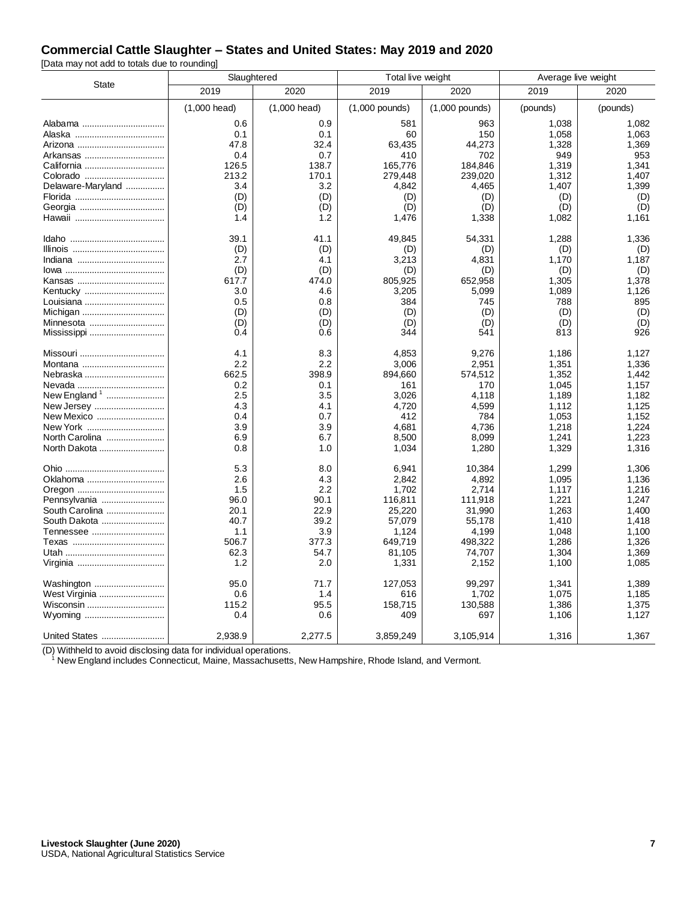# **Commercial Cattle Slaughter – States and United States: May 2019 and 2020**

[Data may not add to totals due to rounding]

| 2019<br>2020<br>2019<br>2020<br>2019<br>2020<br>$(1,000 \text{ head})$<br>$(1,000$ head)<br>$(1,000$ pounds)<br>$(1,000$ pounds)<br>(pounds)<br>(pounds)<br>0.9<br>963<br>1,038<br>1,082<br>0.6<br>581<br>0.1<br>0.1<br>1,058<br>1,063<br>60<br>150<br>47.8<br>32.4<br>63,435<br>44,273<br>1,328<br>1,369<br>0.4<br>0.7<br>949<br>953<br>410<br>702<br>165,776<br>126.5<br>138.7<br>184,846<br>1,319<br>1,341<br>213.2<br>170.1<br>279,448<br>239,020<br>1,312<br>1,407<br>4,465<br>1,407<br>1,399<br>Delaware-Maryland<br>3.4<br>3.2<br>4,842<br>(D)<br>(D)<br>(D)<br>(D)<br>(D)<br>(D)<br>(D)<br>(D)<br>(D)<br>(D)<br>(D)<br>(D)<br>1.2<br>1,161<br>1.4<br>1,476<br>1,338<br>1,082<br>49,845<br>54,331<br>39.1<br>41.1<br>1,288<br>1,336<br>(D)<br>(D)<br>(D)<br>(D)<br>(D)<br>(D)<br>2.7<br>3,213<br>4,831<br>1,170<br>1,187<br>4.1<br>(D)<br>(D)<br>(D)<br>(D)<br>(D)<br>(D)<br>805,925<br>1,378<br>617.7<br>474.0<br>652,958<br>1,305<br>3.0<br>4.6<br>3,205<br>5,099<br>1,089<br>1,126<br>Kentucky<br>384<br>745<br>788<br>895<br>0.5<br>0.8<br>Michigan<br>(D)<br>(D)<br>(D)<br>(D)<br>(D)<br>(D)<br>(D)<br>(D)<br>(D)<br>Minnesota<br>(D)<br>(D)<br>(D)<br>0.6<br>813<br>926<br>0.4<br>344<br>541<br>4.1<br>8.3<br>4,853<br>9,276<br>1,186<br>1.127<br>2.2<br>2.2<br>3,006<br>2,951<br>1,351<br>1,336<br>662.5<br>398.9<br>894,660<br>574,512<br>1,352<br>1,442<br>170<br>0.2<br>161<br>1,045<br>1,157<br>0.1<br>New England <sup>1</sup><br>2.5<br>3.5<br>3,026<br>4,118<br>1,189<br>1,182<br>4.3<br>4.1<br>4,720<br>4,599<br>1,125<br>New Jersey<br>1,112<br>0.4<br>412<br>784<br>1,053<br>1,152<br>New Mexico<br>0.7<br>New York<br>3.9<br>3.9<br>4,681<br>4,736<br>1,218<br>1,224<br>North Carolina<br>6.9<br>6.7<br>8,500<br>8,099<br>1,241<br>1,223<br>North Dakota<br>1.0<br>1,034<br>1,280<br>1,329<br>1,316<br>0.8<br>5.3<br>8.0<br>6,941<br>10,384<br>1,299<br>1,306<br>2.6<br>2,842<br>4,892<br>1,095<br>Oklahoma<br>4.3<br>1,136<br>2.2<br>1,702<br>2,714<br>1.5<br>1,117<br>1,216<br>1,221<br>96.0<br>90.1<br>116,811<br>111,918<br>1,247<br>Pennsylvania<br>South Carolina<br>20.1<br>22.9<br>25,220<br>31,990<br>1,263<br>1,400<br>40.7<br>39.2<br>57,079<br>55,178<br>1,410<br>1.418<br>South Dakota<br>3.9<br>1,124<br>4,199<br>1,048<br>1,100<br>1.1<br>649,719<br>506.7<br>377.3<br>498,322<br>1,286<br>1,326<br>81,105<br>74,707<br>1,304<br>62.3<br>54.7<br>1,369<br>1,085<br>1.2<br>2.0<br>1,331<br>2,152<br>1,100<br>95.0<br>71.7<br>127,053<br>99,297<br>1,341<br>Washington<br>1,389<br>0.6<br>616<br>1,702<br>1,075<br>1,185<br>West Virginia<br>1.4<br>115.2<br>95.5<br>158,715<br>130,588<br>Wisconsin<br>1,386<br>1,375<br>0.4<br>409<br>697<br>Wyoming<br>0.6<br>1,106<br>1,127<br>United States<br>2,938.9<br>2,277.5<br>3,859,249<br>3,105,914<br>1,316<br>1,367 |              | Slaughtered | Total live weight | Average live weight |  |
|----------------------------------------------------------------------------------------------------------------------------------------------------------------------------------------------------------------------------------------------------------------------------------------------------------------------------------------------------------------------------------------------------------------------------------------------------------------------------------------------------------------------------------------------------------------------------------------------------------------------------------------------------------------------------------------------------------------------------------------------------------------------------------------------------------------------------------------------------------------------------------------------------------------------------------------------------------------------------------------------------------------------------------------------------------------------------------------------------------------------------------------------------------------------------------------------------------------------------------------------------------------------------------------------------------------------------------------------------------------------------------------------------------------------------------------------------------------------------------------------------------------------------------------------------------------------------------------------------------------------------------------------------------------------------------------------------------------------------------------------------------------------------------------------------------------------------------------------------------------------------------------------------------------------------------------------------------------------------------------------------------------------------------------------------------------------------------------------------------------------------------------------------------------------------------------------------------------------------------------------------------------------------------------------------------------------------------------------------------------------------------------------------------------------------------------------------------------------------------------------------------------------------------------------------------------------------------------------------------------------------------------------------------------------------------------------------------------------------------------------------------------------------------------------------------|--------------|-------------|-------------------|---------------------|--|
|                                                                                                                                                                                                                                                                                                                                                                                                                                                                                                                                                                                                                                                                                                                                                                                                                                                                                                                                                                                                                                                                                                                                                                                                                                                                                                                                                                                                                                                                                                                                                                                                                                                                                                                                                                                                                                                                                                                                                                                                                                                                                                                                                                                                                                                                                                                                                                                                                                                                                                                                                                                                                                                                                                                                                                                                          | <b>State</b> |             |                   |                     |  |
|                                                                                                                                                                                                                                                                                                                                                                                                                                                                                                                                                                                                                                                                                                                                                                                                                                                                                                                                                                                                                                                                                                                                                                                                                                                                                                                                                                                                                                                                                                                                                                                                                                                                                                                                                                                                                                                                                                                                                                                                                                                                                                                                                                                                                                                                                                                                                                                                                                                                                                                                                                                                                                                                                                                                                                                                          |              |             |                   |                     |  |
|                                                                                                                                                                                                                                                                                                                                                                                                                                                                                                                                                                                                                                                                                                                                                                                                                                                                                                                                                                                                                                                                                                                                                                                                                                                                                                                                                                                                                                                                                                                                                                                                                                                                                                                                                                                                                                                                                                                                                                                                                                                                                                                                                                                                                                                                                                                                                                                                                                                                                                                                                                                                                                                                                                                                                                                                          |              |             |                   |                     |  |
|                                                                                                                                                                                                                                                                                                                                                                                                                                                                                                                                                                                                                                                                                                                                                                                                                                                                                                                                                                                                                                                                                                                                                                                                                                                                                                                                                                                                                                                                                                                                                                                                                                                                                                                                                                                                                                                                                                                                                                                                                                                                                                                                                                                                                                                                                                                                                                                                                                                                                                                                                                                                                                                                                                                                                                                                          |              |             |                   |                     |  |
|                                                                                                                                                                                                                                                                                                                                                                                                                                                                                                                                                                                                                                                                                                                                                                                                                                                                                                                                                                                                                                                                                                                                                                                                                                                                                                                                                                                                                                                                                                                                                                                                                                                                                                                                                                                                                                                                                                                                                                                                                                                                                                                                                                                                                                                                                                                                                                                                                                                                                                                                                                                                                                                                                                                                                                                                          |              |             |                   |                     |  |
|                                                                                                                                                                                                                                                                                                                                                                                                                                                                                                                                                                                                                                                                                                                                                                                                                                                                                                                                                                                                                                                                                                                                                                                                                                                                                                                                                                                                                                                                                                                                                                                                                                                                                                                                                                                                                                                                                                                                                                                                                                                                                                                                                                                                                                                                                                                                                                                                                                                                                                                                                                                                                                                                                                                                                                                                          |              |             |                   |                     |  |
|                                                                                                                                                                                                                                                                                                                                                                                                                                                                                                                                                                                                                                                                                                                                                                                                                                                                                                                                                                                                                                                                                                                                                                                                                                                                                                                                                                                                                                                                                                                                                                                                                                                                                                                                                                                                                                                                                                                                                                                                                                                                                                                                                                                                                                                                                                                                                                                                                                                                                                                                                                                                                                                                                                                                                                                                          |              |             |                   |                     |  |
|                                                                                                                                                                                                                                                                                                                                                                                                                                                                                                                                                                                                                                                                                                                                                                                                                                                                                                                                                                                                                                                                                                                                                                                                                                                                                                                                                                                                                                                                                                                                                                                                                                                                                                                                                                                                                                                                                                                                                                                                                                                                                                                                                                                                                                                                                                                                                                                                                                                                                                                                                                                                                                                                                                                                                                                                          |              |             |                   |                     |  |
|                                                                                                                                                                                                                                                                                                                                                                                                                                                                                                                                                                                                                                                                                                                                                                                                                                                                                                                                                                                                                                                                                                                                                                                                                                                                                                                                                                                                                                                                                                                                                                                                                                                                                                                                                                                                                                                                                                                                                                                                                                                                                                                                                                                                                                                                                                                                                                                                                                                                                                                                                                                                                                                                                                                                                                                                          |              |             |                   |                     |  |
|                                                                                                                                                                                                                                                                                                                                                                                                                                                                                                                                                                                                                                                                                                                                                                                                                                                                                                                                                                                                                                                                                                                                                                                                                                                                                                                                                                                                                                                                                                                                                                                                                                                                                                                                                                                                                                                                                                                                                                                                                                                                                                                                                                                                                                                                                                                                                                                                                                                                                                                                                                                                                                                                                                                                                                                                          |              |             |                   |                     |  |
|                                                                                                                                                                                                                                                                                                                                                                                                                                                                                                                                                                                                                                                                                                                                                                                                                                                                                                                                                                                                                                                                                                                                                                                                                                                                                                                                                                                                                                                                                                                                                                                                                                                                                                                                                                                                                                                                                                                                                                                                                                                                                                                                                                                                                                                                                                                                                                                                                                                                                                                                                                                                                                                                                                                                                                                                          |              |             |                   |                     |  |
|                                                                                                                                                                                                                                                                                                                                                                                                                                                                                                                                                                                                                                                                                                                                                                                                                                                                                                                                                                                                                                                                                                                                                                                                                                                                                                                                                                                                                                                                                                                                                                                                                                                                                                                                                                                                                                                                                                                                                                                                                                                                                                                                                                                                                                                                                                                                                                                                                                                                                                                                                                                                                                                                                                                                                                                                          |              |             |                   |                     |  |
|                                                                                                                                                                                                                                                                                                                                                                                                                                                                                                                                                                                                                                                                                                                                                                                                                                                                                                                                                                                                                                                                                                                                                                                                                                                                                                                                                                                                                                                                                                                                                                                                                                                                                                                                                                                                                                                                                                                                                                                                                                                                                                                                                                                                                                                                                                                                                                                                                                                                                                                                                                                                                                                                                                                                                                                                          |              |             |                   |                     |  |
|                                                                                                                                                                                                                                                                                                                                                                                                                                                                                                                                                                                                                                                                                                                                                                                                                                                                                                                                                                                                                                                                                                                                                                                                                                                                                                                                                                                                                                                                                                                                                                                                                                                                                                                                                                                                                                                                                                                                                                                                                                                                                                                                                                                                                                                                                                                                                                                                                                                                                                                                                                                                                                                                                                                                                                                                          |              |             |                   |                     |  |
|                                                                                                                                                                                                                                                                                                                                                                                                                                                                                                                                                                                                                                                                                                                                                                                                                                                                                                                                                                                                                                                                                                                                                                                                                                                                                                                                                                                                                                                                                                                                                                                                                                                                                                                                                                                                                                                                                                                                                                                                                                                                                                                                                                                                                                                                                                                                                                                                                                                                                                                                                                                                                                                                                                                                                                                                          |              |             |                   |                     |  |
|                                                                                                                                                                                                                                                                                                                                                                                                                                                                                                                                                                                                                                                                                                                                                                                                                                                                                                                                                                                                                                                                                                                                                                                                                                                                                                                                                                                                                                                                                                                                                                                                                                                                                                                                                                                                                                                                                                                                                                                                                                                                                                                                                                                                                                                                                                                                                                                                                                                                                                                                                                                                                                                                                                                                                                                                          |              |             |                   |                     |  |
|                                                                                                                                                                                                                                                                                                                                                                                                                                                                                                                                                                                                                                                                                                                                                                                                                                                                                                                                                                                                                                                                                                                                                                                                                                                                                                                                                                                                                                                                                                                                                                                                                                                                                                                                                                                                                                                                                                                                                                                                                                                                                                                                                                                                                                                                                                                                                                                                                                                                                                                                                                                                                                                                                                                                                                                                          |              |             |                   |                     |  |
|                                                                                                                                                                                                                                                                                                                                                                                                                                                                                                                                                                                                                                                                                                                                                                                                                                                                                                                                                                                                                                                                                                                                                                                                                                                                                                                                                                                                                                                                                                                                                                                                                                                                                                                                                                                                                                                                                                                                                                                                                                                                                                                                                                                                                                                                                                                                                                                                                                                                                                                                                                                                                                                                                                                                                                                                          |              |             |                   |                     |  |
|                                                                                                                                                                                                                                                                                                                                                                                                                                                                                                                                                                                                                                                                                                                                                                                                                                                                                                                                                                                                                                                                                                                                                                                                                                                                                                                                                                                                                                                                                                                                                                                                                                                                                                                                                                                                                                                                                                                                                                                                                                                                                                                                                                                                                                                                                                                                                                                                                                                                                                                                                                                                                                                                                                                                                                                                          |              |             |                   |                     |  |
|                                                                                                                                                                                                                                                                                                                                                                                                                                                                                                                                                                                                                                                                                                                                                                                                                                                                                                                                                                                                                                                                                                                                                                                                                                                                                                                                                                                                                                                                                                                                                                                                                                                                                                                                                                                                                                                                                                                                                                                                                                                                                                                                                                                                                                                                                                                                                                                                                                                                                                                                                                                                                                                                                                                                                                                                          |              |             |                   |                     |  |
|                                                                                                                                                                                                                                                                                                                                                                                                                                                                                                                                                                                                                                                                                                                                                                                                                                                                                                                                                                                                                                                                                                                                                                                                                                                                                                                                                                                                                                                                                                                                                                                                                                                                                                                                                                                                                                                                                                                                                                                                                                                                                                                                                                                                                                                                                                                                                                                                                                                                                                                                                                                                                                                                                                                                                                                                          |              |             |                   |                     |  |
|                                                                                                                                                                                                                                                                                                                                                                                                                                                                                                                                                                                                                                                                                                                                                                                                                                                                                                                                                                                                                                                                                                                                                                                                                                                                                                                                                                                                                                                                                                                                                                                                                                                                                                                                                                                                                                                                                                                                                                                                                                                                                                                                                                                                                                                                                                                                                                                                                                                                                                                                                                                                                                                                                                                                                                                                          |              |             |                   |                     |  |
|                                                                                                                                                                                                                                                                                                                                                                                                                                                                                                                                                                                                                                                                                                                                                                                                                                                                                                                                                                                                                                                                                                                                                                                                                                                                                                                                                                                                                                                                                                                                                                                                                                                                                                                                                                                                                                                                                                                                                                                                                                                                                                                                                                                                                                                                                                                                                                                                                                                                                                                                                                                                                                                                                                                                                                                                          |              |             |                   |                     |  |
|                                                                                                                                                                                                                                                                                                                                                                                                                                                                                                                                                                                                                                                                                                                                                                                                                                                                                                                                                                                                                                                                                                                                                                                                                                                                                                                                                                                                                                                                                                                                                                                                                                                                                                                                                                                                                                                                                                                                                                                                                                                                                                                                                                                                                                                                                                                                                                                                                                                                                                                                                                                                                                                                                                                                                                                                          |              |             |                   |                     |  |
|                                                                                                                                                                                                                                                                                                                                                                                                                                                                                                                                                                                                                                                                                                                                                                                                                                                                                                                                                                                                                                                                                                                                                                                                                                                                                                                                                                                                                                                                                                                                                                                                                                                                                                                                                                                                                                                                                                                                                                                                                                                                                                                                                                                                                                                                                                                                                                                                                                                                                                                                                                                                                                                                                                                                                                                                          |              |             |                   |                     |  |
|                                                                                                                                                                                                                                                                                                                                                                                                                                                                                                                                                                                                                                                                                                                                                                                                                                                                                                                                                                                                                                                                                                                                                                                                                                                                                                                                                                                                                                                                                                                                                                                                                                                                                                                                                                                                                                                                                                                                                                                                                                                                                                                                                                                                                                                                                                                                                                                                                                                                                                                                                                                                                                                                                                                                                                                                          |              |             |                   |                     |  |
|                                                                                                                                                                                                                                                                                                                                                                                                                                                                                                                                                                                                                                                                                                                                                                                                                                                                                                                                                                                                                                                                                                                                                                                                                                                                                                                                                                                                                                                                                                                                                                                                                                                                                                                                                                                                                                                                                                                                                                                                                                                                                                                                                                                                                                                                                                                                                                                                                                                                                                                                                                                                                                                                                                                                                                                                          |              |             |                   |                     |  |
|                                                                                                                                                                                                                                                                                                                                                                                                                                                                                                                                                                                                                                                                                                                                                                                                                                                                                                                                                                                                                                                                                                                                                                                                                                                                                                                                                                                                                                                                                                                                                                                                                                                                                                                                                                                                                                                                                                                                                                                                                                                                                                                                                                                                                                                                                                                                                                                                                                                                                                                                                                                                                                                                                                                                                                                                          |              |             |                   |                     |  |
|                                                                                                                                                                                                                                                                                                                                                                                                                                                                                                                                                                                                                                                                                                                                                                                                                                                                                                                                                                                                                                                                                                                                                                                                                                                                                                                                                                                                                                                                                                                                                                                                                                                                                                                                                                                                                                                                                                                                                                                                                                                                                                                                                                                                                                                                                                                                                                                                                                                                                                                                                                                                                                                                                                                                                                                                          |              |             |                   |                     |  |
|                                                                                                                                                                                                                                                                                                                                                                                                                                                                                                                                                                                                                                                                                                                                                                                                                                                                                                                                                                                                                                                                                                                                                                                                                                                                                                                                                                                                                                                                                                                                                                                                                                                                                                                                                                                                                                                                                                                                                                                                                                                                                                                                                                                                                                                                                                                                                                                                                                                                                                                                                                                                                                                                                                                                                                                                          |              |             |                   |                     |  |
|                                                                                                                                                                                                                                                                                                                                                                                                                                                                                                                                                                                                                                                                                                                                                                                                                                                                                                                                                                                                                                                                                                                                                                                                                                                                                                                                                                                                                                                                                                                                                                                                                                                                                                                                                                                                                                                                                                                                                                                                                                                                                                                                                                                                                                                                                                                                                                                                                                                                                                                                                                                                                                                                                                                                                                                                          |              |             |                   |                     |  |
|                                                                                                                                                                                                                                                                                                                                                                                                                                                                                                                                                                                                                                                                                                                                                                                                                                                                                                                                                                                                                                                                                                                                                                                                                                                                                                                                                                                                                                                                                                                                                                                                                                                                                                                                                                                                                                                                                                                                                                                                                                                                                                                                                                                                                                                                                                                                                                                                                                                                                                                                                                                                                                                                                                                                                                                                          |              |             |                   |                     |  |
|                                                                                                                                                                                                                                                                                                                                                                                                                                                                                                                                                                                                                                                                                                                                                                                                                                                                                                                                                                                                                                                                                                                                                                                                                                                                                                                                                                                                                                                                                                                                                                                                                                                                                                                                                                                                                                                                                                                                                                                                                                                                                                                                                                                                                                                                                                                                                                                                                                                                                                                                                                                                                                                                                                                                                                                                          |              |             |                   |                     |  |
|                                                                                                                                                                                                                                                                                                                                                                                                                                                                                                                                                                                                                                                                                                                                                                                                                                                                                                                                                                                                                                                                                                                                                                                                                                                                                                                                                                                                                                                                                                                                                                                                                                                                                                                                                                                                                                                                                                                                                                                                                                                                                                                                                                                                                                                                                                                                                                                                                                                                                                                                                                                                                                                                                                                                                                                                          |              |             |                   |                     |  |
|                                                                                                                                                                                                                                                                                                                                                                                                                                                                                                                                                                                                                                                                                                                                                                                                                                                                                                                                                                                                                                                                                                                                                                                                                                                                                                                                                                                                                                                                                                                                                                                                                                                                                                                                                                                                                                                                                                                                                                                                                                                                                                                                                                                                                                                                                                                                                                                                                                                                                                                                                                                                                                                                                                                                                                                                          |              |             |                   |                     |  |
|                                                                                                                                                                                                                                                                                                                                                                                                                                                                                                                                                                                                                                                                                                                                                                                                                                                                                                                                                                                                                                                                                                                                                                                                                                                                                                                                                                                                                                                                                                                                                                                                                                                                                                                                                                                                                                                                                                                                                                                                                                                                                                                                                                                                                                                                                                                                                                                                                                                                                                                                                                                                                                                                                                                                                                                                          |              |             |                   |                     |  |
|                                                                                                                                                                                                                                                                                                                                                                                                                                                                                                                                                                                                                                                                                                                                                                                                                                                                                                                                                                                                                                                                                                                                                                                                                                                                                                                                                                                                                                                                                                                                                                                                                                                                                                                                                                                                                                                                                                                                                                                                                                                                                                                                                                                                                                                                                                                                                                                                                                                                                                                                                                                                                                                                                                                                                                                                          |              |             |                   |                     |  |
|                                                                                                                                                                                                                                                                                                                                                                                                                                                                                                                                                                                                                                                                                                                                                                                                                                                                                                                                                                                                                                                                                                                                                                                                                                                                                                                                                                                                                                                                                                                                                                                                                                                                                                                                                                                                                                                                                                                                                                                                                                                                                                                                                                                                                                                                                                                                                                                                                                                                                                                                                                                                                                                                                                                                                                                                          |              |             |                   |                     |  |
|                                                                                                                                                                                                                                                                                                                                                                                                                                                                                                                                                                                                                                                                                                                                                                                                                                                                                                                                                                                                                                                                                                                                                                                                                                                                                                                                                                                                                                                                                                                                                                                                                                                                                                                                                                                                                                                                                                                                                                                                                                                                                                                                                                                                                                                                                                                                                                                                                                                                                                                                                                                                                                                                                                                                                                                                          |              |             |                   |                     |  |
|                                                                                                                                                                                                                                                                                                                                                                                                                                                                                                                                                                                                                                                                                                                                                                                                                                                                                                                                                                                                                                                                                                                                                                                                                                                                                                                                                                                                                                                                                                                                                                                                                                                                                                                                                                                                                                                                                                                                                                                                                                                                                                                                                                                                                                                                                                                                                                                                                                                                                                                                                                                                                                                                                                                                                                                                          |              |             |                   |                     |  |
|                                                                                                                                                                                                                                                                                                                                                                                                                                                                                                                                                                                                                                                                                                                                                                                                                                                                                                                                                                                                                                                                                                                                                                                                                                                                                                                                                                                                                                                                                                                                                                                                                                                                                                                                                                                                                                                                                                                                                                                                                                                                                                                                                                                                                                                                                                                                                                                                                                                                                                                                                                                                                                                                                                                                                                                                          |              |             |                   |                     |  |
|                                                                                                                                                                                                                                                                                                                                                                                                                                                                                                                                                                                                                                                                                                                                                                                                                                                                                                                                                                                                                                                                                                                                                                                                                                                                                                                                                                                                                                                                                                                                                                                                                                                                                                                                                                                                                                                                                                                                                                                                                                                                                                                                                                                                                                                                                                                                                                                                                                                                                                                                                                                                                                                                                                                                                                                                          |              |             |                   |                     |  |
|                                                                                                                                                                                                                                                                                                                                                                                                                                                                                                                                                                                                                                                                                                                                                                                                                                                                                                                                                                                                                                                                                                                                                                                                                                                                                                                                                                                                                                                                                                                                                                                                                                                                                                                                                                                                                                                                                                                                                                                                                                                                                                                                                                                                                                                                                                                                                                                                                                                                                                                                                                                                                                                                                                                                                                                                          |              |             |                   |                     |  |
|                                                                                                                                                                                                                                                                                                                                                                                                                                                                                                                                                                                                                                                                                                                                                                                                                                                                                                                                                                                                                                                                                                                                                                                                                                                                                                                                                                                                                                                                                                                                                                                                                                                                                                                                                                                                                                                                                                                                                                                                                                                                                                                                                                                                                                                                                                                                                                                                                                                                                                                                                                                                                                                                                                                                                                                                          |              |             |                   |                     |  |
|                                                                                                                                                                                                                                                                                                                                                                                                                                                                                                                                                                                                                                                                                                                                                                                                                                                                                                                                                                                                                                                                                                                                                                                                                                                                                                                                                                                                                                                                                                                                                                                                                                                                                                                                                                                                                                                                                                                                                                                                                                                                                                                                                                                                                                                                                                                                                                                                                                                                                                                                                                                                                                                                                                                                                                                                          |              |             |                   |                     |  |
|                                                                                                                                                                                                                                                                                                                                                                                                                                                                                                                                                                                                                                                                                                                                                                                                                                                                                                                                                                                                                                                                                                                                                                                                                                                                                                                                                                                                                                                                                                                                                                                                                                                                                                                                                                                                                                                                                                                                                                                                                                                                                                                                                                                                                                                                                                                                                                                                                                                                                                                                                                                                                                                                                                                                                                                                          |              |             |                   |                     |  |
|                                                                                                                                                                                                                                                                                                                                                                                                                                                                                                                                                                                                                                                                                                                                                                                                                                                                                                                                                                                                                                                                                                                                                                                                                                                                                                                                                                                                                                                                                                                                                                                                                                                                                                                                                                                                                                                                                                                                                                                                                                                                                                                                                                                                                                                                                                                                                                                                                                                                                                                                                                                                                                                                                                                                                                                                          |              |             |                   |                     |  |

(D) Withheld to avoid disclosing data for individual operations.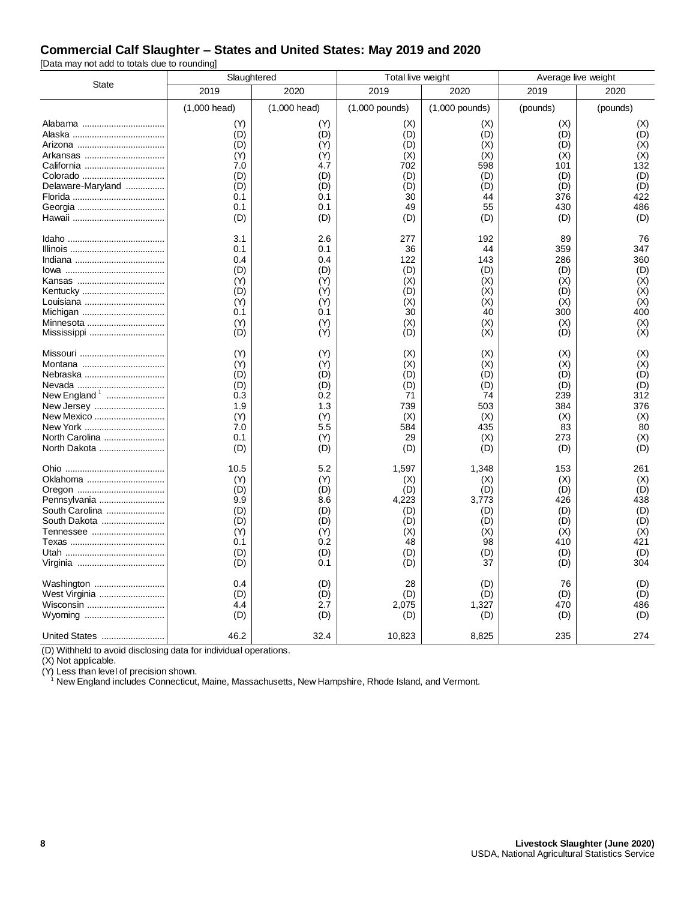# **Commercial Calf Slaughter – States and United States: May 2019 and 2020**

[Data may not add to totals due to rounding]

| <b>State</b>      | Slaughtered            |                | Total live weight |                  | Average live weight |          |  |
|-------------------|------------------------|----------------|-------------------|------------------|---------------------|----------|--|
|                   | 2019                   | 2020           | 2019              | 2020             | 2019                | 2020     |  |
|                   | $(1,000 \text{ head})$ | $(1,000$ head) | $(1,000$ pounds)  | $(1,000$ pounds) | (pounds)            | (pounds) |  |
|                   | (Y)                    | (Y)            | (X)               | (X)              | (X)                 | (X)      |  |
|                   | (D)                    | (D)            | (D)               | (D)              | (D)                 | (D)      |  |
|                   | (D)                    | Y)             | (D)               | (X)              | (D)                 | (X)      |  |
|                   | (Y)                    | Y)             | (X)               | (X)              | (X)                 | (X)      |  |
|                   | 7.0                    | 4.7            | 702               | 598              | 101                 | 132      |  |
|                   | (D)                    | (D)            | (D)               | (D)              | (D)                 | (D)      |  |
| Delaware-Maryland | (D)                    | (D)            | (D)               | (D)              | (D)                 | (D)      |  |
|                   | 0.1                    | 0.1            | 30                | 44               | 376                 | 422      |  |
|                   | 0.1                    | 0.1            | 49                | 55               | 430                 | 486      |  |
|                   | (D)                    | (D)            | (D)               | (D)              | (D)                 | (D)      |  |
|                   | 3.1                    | 2.6            | 277               | 192              | 89                  | 76       |  |
|                   | 0.1                    | 0.1            | 36                | 44               | 359                 | 347      |  |
|                   | 0.4                    | 0.4            | 122               | 143              | 286                 | 360      |  |
|                   | (D)                    | (D)            | (D)               | (D)              | (D)                 | (D)      |  |
|                   | (Y)                    | (Y)            | (X)               | (X)              | (X)                 | (X)      |  |
|                   | (D)                    | Y)             | (D)               | (X)              | (D)                 | (X)      |  |
| Louisiana         | (Y)                    | Y)             | (X)               | (X)              | (X)                 | (X)      |  |
|                   | 0.1                    | 0.1            | 30                | 40               | 300                 | 400      |  |
|                   | (Y)                    | (Y)            | (X)               | (X)              | (X)                 | (X)      |  |
|                   | (D)                    | (Y)            | (D)               | (X)              | (D)                 | $\chi'$  |  |
|                   | (Y)                    | (Y)            | (X)               | (X)              | (X)                 | (X)      |  |
|                   | (Y)                    | Y)             | (X)               | (X)              | (X)                 | (X)      |  |
|                   | (D)                    | (D)            | (D)               | (D)              | (D)                 | (D)      |  |
|                   | (D)                    | (D)            | (D)               | (D)              | (D)                 | (D)      |  |
| New England 1     | 0.3                    | 0.2            | 71                | 74               | 239                 | 312      |  |
| New Jersey        | 1.9                    | 1.3            | 739               | 503              | 384                 | 376      |  |
| New Mexico        | (Y)                    | (Y)            | (X)               | (X)              | (X)                 | (X)      |  |
| New York          | 7.0                    | 5.5            | 584               | 435              | 83                  | 80       |  |
| North Carolina    | 0.1                    | (Y)            | 29                | (X)              | 273                 | (X)      |  |
| North Dakota      | (D)                    | (D)            | (D)               | (D)              | (D)                 | (D)      |  |
|                   | 10.5                   | 5.2            | 1,597             | 1,348            | 153                 | 261      |  |
| Oklahoma          | (Y)                    | (Y)            | (X)               | (X)              | (X)                 | (X)      |  |
|                   | (D)                    | (D)            | (D)               | (D)              | (D)                 | (D)      |  |
| Pennsylvania      | 9.9                    | 8.6            | 4,223             | 3,773            | 426                 | 438      |  |
| South Carolina    | (D)                    | (D)            | (D)               | (D)              | (D)                 | (D)      |  |
| South Dakota      | (D)                    | (D)            | (D)               | (D)              | (D)                 | (D)      |  |
|                   | (Y)                    | (Y)            | (X)               | (X)              | (X)                 | (X)      |  |
|                   | 0.1                    | 0.2            | 48                | 98               | 410                 | 421      |  |
|                   | (D)                    | (D)            | (D)               | (D)              | (D)                 | (D)      |  |
|                   | (D)                    | 0.1            | (D)               | 37               | (D)                 | 304      |  |
| Washington        | 0.4                    | (D)            | 28                | (D)              | 76                  | (D)      |  |
| West Virginia     | (D)                    | (D)            | (D)               | (D)              | (D)                 | (D)      |  |
| Wisconsin         | 4.4                    | 2.7            | 2,075             | 1,327            | 470                 | 486      |  |
|                   | (D)                    | (D)            | (D)               | (D)              | (D)                 | (D)      |  |
| United States     | 46.2                   | 32.4           | 10,823            | 8,825            | 235                 | 274      |  |
|                   |                        |                |                   |                  |                     |          |  |

(D) Withheld to avoid disclosing data for individual operations.

(X) Not applicable.

(Y) Less than level of precision shown.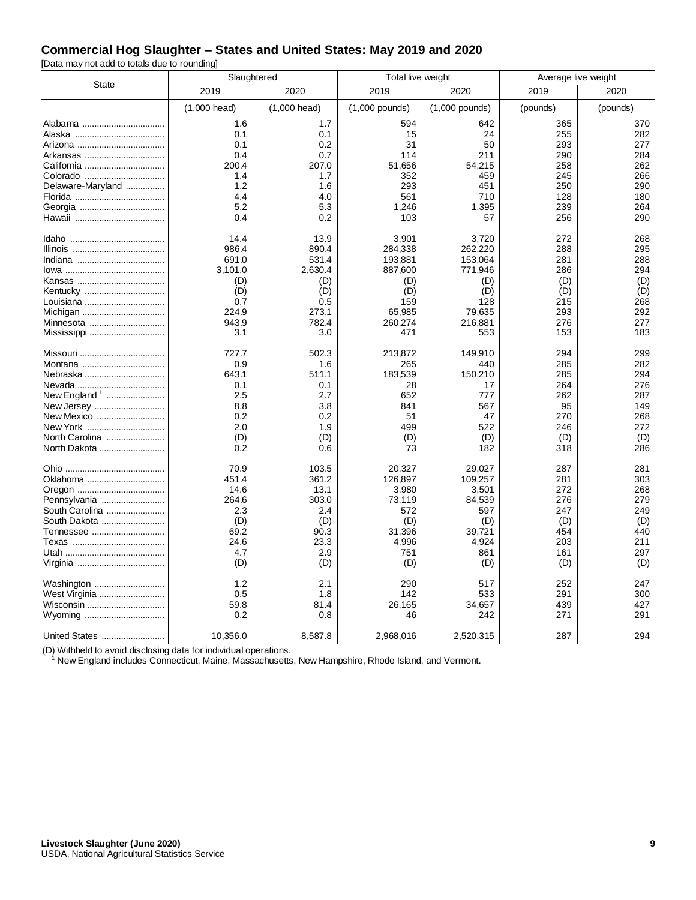# **Commercial Hog Slaughter – States and United States: May 2019 and 2020**

[Data may not add to totals due to rounding]

|                   | Slaughtered    |                | Total live weight |                  |          | Average live weight |  |
|-------------------|----------------|----------------|-------------------|------------------|----------|---------------------|--|
| <b>State</b>      | 2019           | 2020           | 2019              | 2020             | 2019     | 2020                |  |
|                   | $(1,000$ head) | $(1,000$ head) | $(1,000$ pounds)  | $(1,000$ pounds) | (pounds) | (pounds)            |  |
|                   | 1.6            | 1.7            | 594               | 642              | 365      | 370                 |  |
|                   | 0.1            | 0.1            | 15                | 24               | 255      | 282                 |  |
|                   | 0.1            | 0.2            | 31                | 50               | 293      | 277                 |  |
|                   | 0.4            | 0.7            | 114               | 211              | 290      | 284                 |  |
|                   | 200.4          | 207.0          | 51,656            | 54,215           | 258      | 262                 |  |
| Colorado          | 1.4            | 1.7            | 352               | 459              | 245      | 266                 |  |
| Delaware-Maryland | 1.2            | 1.6            | 293               | 451              | 250      | 290                 |  |
|                   | 4.4            | 4.0            | 561               | 710              | 128      | 180                 |  |
|                   | 5.2            | 5.3            | 1,246             | 1,395            | 239      | 264                 |  |
|                   | 0.4            | 0.2            | 103               | 57               | 256      | 290                 |  |
|                   | 14.4           | 13.9           | 3,901             | 3,720            | 272      | 268                 |  |
|                   | 986.4          | 890.4          | 284,338           | 262,220          | 288      | 295                 |  |
|                   | 691.0          | 531.4          | 193,881           | 153,064          | 281      | 288                 |  |
|                   | 3,101.0        | 2,630.4        | 887,600           | 771,946          | 286      | 294                 |  |
|                   | (D)            | (D)            | (D)               | (D)              | (D)      | (D)                 |  |
|                   | (D)            | (D)            | (D)               | (D)              | (D)      | (D)                 |  |
| Louisiana         | 0.7            | 0.5            | 159               | 128              | 215      | 268                 |  |
|                   | 224.9          | 273.1          | 65,985            | 79,635           | 293      | 292                 |  |
|                   | 943.9          | 782.4          | 260,274           | 216,881          | 276      | 277                 |  |
|                   | 3.1            | 3.0            | 471               | 553              | 153      | 183                 |  |
|                   |                |                |                   |                  |          |                     |  |
|                   | 727.7          | 502.3          | 213,872           | 149,910          | 294      | 299                 |  |
|                   | 0.9            | 1.6            | 265               | 440              | 285      | 282                 |  |
| Nebraska          | 643.1          | 511.1          | 183,539           | 150,210          | 285      | 294                 |  |
|                   | 0.1            | 0.1            | 28                | 17               | 264      | 276                 |  |
| New England 1     | 2.5            | 2.7            | 652               | 777              | 262      | 287                 |  |
| New Jersey        | 8.8            | 3.8            | 841               | 567              | 95       | 149                 |  |
| New Mexico        | 0.2            | 0.2            | 51                | 47               | 270      | 268                 |  |
| New York          | 2.0            | 1.9            | 499               | 522              | 246      | 272                 |  |
| North Carolina    | (D)            | (D)            | (D)               | (D)              | (D)      | (D)                 |  |
| North Dakota      | 0.2            | 0.6            | 73                | 182              | 318      | 286                 |  |
|                   | 70.9           | 103.5          | 20,327            | 29,027           | 287      | 281                 |  |
| Oklahoma          | 451.4          | 361.2          | 126,897           | 109,257          | 281      | 303                 |  |
|                   | 14.6           | 13.1           | 3,980             | 3,501            | 272      | 268                 |  |
| Pennsylvania      | 264.6          | 303.0          | 73,119            | 84,539           | 276      | 279                 |  |
| South Carolina    | 2.3            | 2.4            | 572               | 597              | 247      | 249                 |  |
| South Dakota      | (D)            | (D)            | (D)               | (D)              | (D)      | (D)                 |  |
|                   | 69.2           | 90.3           | 31,396            | 39,721           | 454      | 440                 |  |
|                   | 24.6           | 23.3           | 4,996             | 4,924            | 203      | 211                 |  |
|                   | 4.7            | 2.9            | 751               | 861              | 161      | 297                 |  |
|                   | (D)            | (D)            | (D)               | (D)              | (D)      | (D)                 |  |
|                   |                |                |                   |                  |          |                     |  |
| Washington        | 1.2            | 2.1            | 290               | 517              | 252      | 247                 |  |
| West Virginia     | 0.5            | 1.8            | 142               | 533              | 291      | 300                 |  |
| Wisconsin         | 59.8           | 81.4           | 26,165            | 34,657           | 439      | 427                 |  |
|                   | 0.2            | 0.8            | 46                | 242              | 271      | 291                 |  |
| United States     | 10,356.0       | 8,587.8        | 2,968,016         | 2,520,315        | 287      | 294                 |  |
|                   |                |                |                   |                  |          |                     |  |

(D) Withheld to avoid disclosing data for individual operations.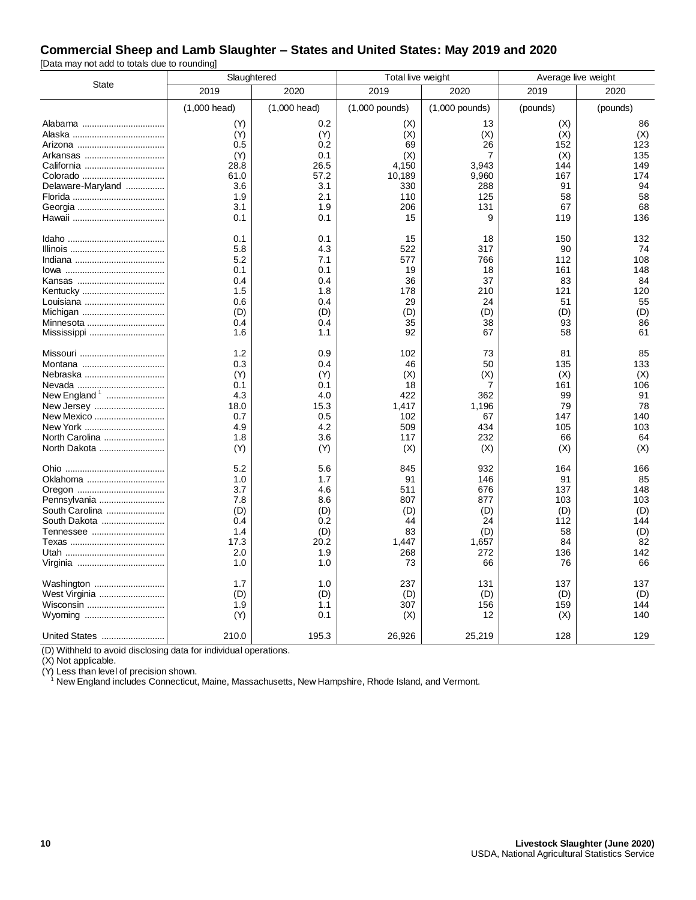# **Commercial Sheep and Lamb Slaughter – States and United States: May 2019 and 2020**

[Data may not add to totals due to rounding]

| 2019<br>2020<br>2019<br>2020<br>2019<br>2020<br>$(1,000 \text{ head})$<br>$(1,000$ head)<br>$(1,000$ pounds)<br>$(1,000$ pounds)<br>(pounds)<br>(pounds)<br>0.2<br>13<br>86<br>(Y)<br>(X)<br>(X)<br>(X)<br>(X)<br>(Y)<br>(Y)<br>(X)<br>(X)<br>123<br>0.2<br>69<br>26<br>0.5<br>152<br>(Y)<br>0.1<br>(X)<br>$\overline{7}$<br>(X)<br>135<br>28.8<br>26.5<br>4,150<br>3,943<br>144<br>149<br>174<br>61.0<br>57.2<br>10,189<br>9,960<br>167<br>94<br>3.6<br>3.1<br>330<br>288<br>91<br>Delaware-Maryland<br>58<br>2.1<br>125<br>58<br>1.9<br>110<br>1.9<br>206<br>67<br>68<br>3.1<br>131<br>0.1<br>0.1<br>9<br>119<br>136<br>15<br>0.1<br>0.1<br>15<br>18<br>150<br>132<br>5.8<br>4.3<br>522<br>317<br>90<br>74<br>5.2<br>577<br>766<br>112<br>108<br>7.1<br>148<br>0.1<br>0.1<br>19<br>18<br>161<br>0.4<br>0.4<br>36<br>37<br>83<br>84<br>178<br>120<br>1.5<br>1.8<br>210<br>121<br>29<br>24<br>51<br>55<br>0.6<br>0.4<br>(D)<br>(D)<br>(D)<br>(D)<br>(D)<br>(D)<br>Michigan<br>86<br>Minnesota<br>0.4<br>0.4<br>35<br>38<br>93<br>92<br>67<br>58<br>61<br>1.6<br>1.1<br>1.2<br>0.9<br>73<br>85<br>102<br>81<br>133<br>0.3<br>0.4<br>46<br>50<br>135<br>(X)<br>(Y)<br>(Y)<br>(X)<br>(X)<br>(X)<br>106<br>18<br>161<br>0.1<br>0.1<br>7<br>New England <sup>1</sup><br>4.3<br>422<br>362<br>99<br>91<br>4.0<br>15.3<br>1,196<br>79<br>78<br>New Jersey<br>18.0<br>1,417<br>140<br>New Mexico<br>0.7<br>0.5<br>102<br>67<br>147<br>509<br>434<br>103<br>New York<br>4.9<br>4.2<br>105<br>3.6<br>117<br>232<br>64<br>North Carolina<br>1.8<br>66<br>North Dakota<br>(Y)<br>(X)<br>(X)<br>(Y)<br>(X)<br>(X)<br>5.2<br>5.6<br>845<br>932<br>164<br>166<br>85<br>1.0<br>91<br>146<br>91<br>Oklahoma<br>1.7<br>3.7<br>4.6<br>511<br>676<br>137<br>148<br>7.8<br>807<br>877<br>103<br>103<br>8.6<br>Pennsylvania<br>South Carolina<br>(D)<br>(D)<br>(D)<br>(D)<br>(D)<br>(D)<br>144<br>South Dakota<br>0.4<br>0.2<br>44<br>24<br>112<br>1.4<br>83<br>(D)<br>58<br>(D)<br>(D)<br>17.3<br>1,447<br>1,657<br>84<br>82<br>20.2<br>142<br>2.0<br>1.9<br>272<br>136<br>268<br>66<br>1.0<br>1.0<br>73<br>66<br>76<br>1.7<br>1.0<br>237<br>131<br>137<br>137<br>Washington<br>(D)<br>(D)<br>(D)<br>(D)<br>West Virginia<br>(D)<br>(D)<br>307<br>156<br>144<br>Wisconsin<br>1.9<br>1.1<br>159<br>0.1<br>(X)<br>12<br>140<br>Wyoming<br>(Y)<br>(X)<br>195.3<br>26,926<br>United States<br>210.0<br>25,219<br>128<br>129 | <b>State</b> | Slaughtered | Total live weight | Average live weight |  |  |
|----------------------------------------------------------------------------------------------------------------------------------------------------------------------------------------------------------------------------------------------------------------------------------------------------------------------------------------------------------------------------------------------------------------------------------------------------------------------------------------------------------------------------------------------------------------------------------------------------------------------------------------------------------------------------------------------------------------------------------------------------------------------------------------------------------------------------------------------------------------------------------------------------------------------------------------------------------------------------------------------------------------------------------------------------------------------------------------------------------------------------------------------------------------------------------------------------------------------------------------------------------------------------------------------------------------------------------------------------------------------------------------------------------------------------------------------------------------------------------------------------------------------------------------------------------------------------------------------------------------------------------------------------------------------------------------------------------------------------------------------------------------------------------------------------------------------------------------------------------------------------------------------------------------------------------------------------------------------------------------------------------------------------------------------------------------------------------------------------------------------------------------------------------------------------------------------------------------------------------------------------------------------------------------------------------------------------------------------------------------------------------------------------|--------------|-------------|-------------------|---------------------|--|--|
|                                                                                                                                                                                                                                                                                                                                                                                                                                                                                                                                                                                                                                                                                                                                                                                                                                                                                                                                                                                                                                                                                                                                                                                                                                                                                                                                                                                                                                                                                                                                                                                                                                                                                                                                                                                                                                                                                                                                                                                                                                                                                                                                                                                                                                                                                                                                                                                                    |              |             |                   |                     |  |  |
|                                                                                                                                                                                                                                                                                                                                                                                                                                                                                                                                                                                                                                                                                                                                                                                                                                                                                                                                                                                                                                                                                                                                                                                                                                                                                                                                                                                                                                                                                                                                                                                                                                                                                                                                                                                                                                                                                                                                                                                                                                                                                                                                                                                                                                                                                                                                                                                                    |              |             |                   |                     |  |  |
|                                                                                                                                                                                                                                                                                                                                                                                                                                                                                                                                                                                                                                                                                                                                                                                                                                                                                                                                                                                                                                                                                                                                                                                                                                                                                                                                                                                                                                                                                                                                                                                                                                                                                                                                                                                                                                                                                                                                                                                                                                                                                                                                                                                                                                                                                                                                                                                                    |              |             |                   |                     |  |  |
|                                                                                                                                                                                                                                                                                                                                                                                                                                                                                                                                                                                                                                                                                                                                                                                                                                                                                                                                                                                                                                                                                                                                                                                                                                                                                                                                                                                                                                                                                                                                                                                                                                                                                                                                                                                                                                                                                                                                                                                                                                                                                                                                                                                                                                                                                                                                                                                                    |              |             |                   |                     |  |  |
|                                                                                                                                                                                                                                                                                                                                                                                                                                                                                                                                                                                                                                                                                                                                                                                                                                                                                                                                                                                                                                                                                                                                                                                                                                                                                                                                                                                                                                                                                                                                                                                                                                                                                                                                                                                                                                                                                                                                                                                                                                                                                                                                                                                                                                                                                                                                                                                                    |              |             |                   |                     |  |  |
|                                                                                                                                                                                                                                                                                                                                                                                                                                                                                                                                                                                                                                                                                                                                                                                                                                                                                                                                                                                                                                                                                                                                                                                                                                                                                                                                                                                                                                                                                                                                                                                                                                                                                                                                                                                                                                                                                                                                                                                                                                                                                                                                                                                                                                                                                                                                                                                                    |              |             |                   |                     |  |  |
|                                                                                                                                                                                                                                                                                                                                                                                                                                                                                                                                                                                                                                                                                                                                                                                                                                                                                                                                                                                                                                                                                                                                                                                                                                                                                                                                                                                                                                                                                                                                                                                                                                                                                                                                                                                                                                                                                                                                                                                                                                                                                                                                                                                                                                                                                                                                                                                                    |              |             |                   |                     |  |  |
|                                                                                                                                                                                                                                                                                                                                                                                                                                                                                                                                                                                                                                                                                                                                                                                                                                                                                                                                                                                                                                                                                                                                                                                                                                                                                                                                                                                                                                                                                                                                                                                                                                                                                                                                                                                                                                                                                                                                                                                                                                                                                                                                                                                                                                                                                                                                                                                                    |              |             |                   |                     |  |  |
|                                                                                                                                                                                                                                                                                                                                                                                                                                                                                                                                                                                                                                                                                                                                                                                                                                                                                                                                                                                                                                                                                                                                                                                                                                                                                                                                                                                                                                                                                                                                                                                                                                                                                                                                                                                                                                                                                                                                                                                                                                                                                                                                                                                                                                                                                                                                                                                                    |              |             |                   |                     |  |  |
|                                                                                                                                                                                                                                                                                                                                                                                                                                                                                                                                                                                                                                                                                                                                                                                                                                                                                                                                                                                                                                                                                                                                                                                                                                                                                                                                                                                                                                                                                                                                                                                                                                                                                                                                                                                                                                                                                                                                                                                                                                                                                                                                                                                                                                                                                                                                                                                                    |              |             |                   |                     |  |  |
|                                                                                                                                                                                                                                                                                                                                                                                                                                                                                                                                                                                                                                                                                                                                                                                                                                                                                                                                                                                                                                                                                                                                                                                                                                                                                                                                                                                                                                                                                                                                                                                                                                                                                                                                                                                                                                                                                                                                                                                                                                                                                                                                                                                                                                                                                                                                                                                                    |              |             |                   |                     |  |  |
|                                                                                                                                                                                                                                                                                                                                                                                                                                                                                                                                                                                                                                                                                                                                                                                                                                                                                                                                                                                                                                                                                                                                                                                                                                                                                                                                                                                                                                                                                                                                                                                                                                                                                                                                                                                                                                                                                                                                                                                                                                                                                                                                                                                                                                                                                                                                                                                                    |              |             |                   |                     |  |  |
|                                                                                                                                                                                                                                                                                                                                                                                                                                                                                                                                                                                                                                                                                                                                                                                                                                                                                                                                                                                                                                                                                                                                                                                                                                                                                                                                                                                                                                                                                                                                                                                                                                                                                                                                                                                                                                                                                                                                                                                                                                                                                                                                                                                                                                                                                                                                                                                                    |              |             |                   |                     |  |  |
|                                                                                                                                                                                                                                                                                                                                                                                                                                                                                                                                                                                                                                                                                                                                                                                                                                                                                                                                                                                                                                                                                                                                                                                                                                                                                                                                                                                                                                                                                                                                                                                                                                                                                                                                                                                                                                                                                                                                                                                                                                                                                                                                                                                                                                                                                                                                                                                                    |              |             |                   |                     |  |  |
|                                                                                                                                                                                                                                                                                                                                                                                                                                                                                                                                                                                                                                                                                                                                                                                                                                                                                                                                                                                                                                                                                                                                                                                                                                                                                                                                                                                                                                                                                                                                                                                                                                                                                                                                                                                                                                                                                                                                                                                                                                                                                                                                                                                                                                                                                                                                                                                                    |              |             |                   |                     |  |  |
|                                                                                                                                                                                                                                                                                                                                                                                                                                                                                                                                                                                                                                                                                                                                                                                                                                                                                                                                                                                                                                                                                                                                                                                                                                                                                                                                                                                                                                                                                                                                                                                                                                                                                                                                                                                                                                                                                                                                                                                                                                                                                                                                                                                                                                                                                                                                                                                                    |              |             |                   |                     |  |  |
|                                                                                                                                                                                                                                                                                                                                                                                                                                                                                                                                                                                                                                                                                                                                                                                                                                                                                                                                                                                                                                                                                                                                                                                                                                                                                                                                                                                                                                                                                                                                                                                                                                                                                                                                                                                                                                                                                                                                                                                                                                                                                                                                                                                                                                                                                                                                                                                                    |              |             |                   |                     |  |  |
|                                                                                                                                                                                                                                                                                                                                                                                                                                                                                                                                                                                                                                                                                                                                                                                                                                                                                                                                                                                                                                                                                                                                                                                                                                                                                                                                                                                                                                                                                                                                                                                                                                                                                                                                                                                                                                                                                                                                                                                                                                                                                                                                                                                                                                                                                                                                                                                                    |              |             |                   |                     |  |  |
|                                                                                                                                                                                                                                                                                                                                                                                                                                                                                                                                                                                                                                                                                                                                                                                                                                                                                                                                                                                                                                                                                                                                                                                                                                                                                                                                                                                                                                                                                                                                                                                                                                                                                                                                                                                                                                                                                                                                                                                                                                                                                                                                                                                                                                                                                                                                                                                                    |              |             |                   |                     |  |  |
|                                                                                                                                                                                                                                                                                                                                                                                                                                                                                                                                                                                                                                                                                                                                                                                                                                                                                                                                                                                                                                                                                                                                                                                                                                                                                                                                                                                                                                                                                                                                                                                                                                                                                                                                                                                                                                                                                                                                                                                                                                                                                                                                                                                                                                                                                                                                                                                                    |              |             |                   |                     |  |  |
|                                                                                                                                                                                                                                                                                                                                                                                                                                                                                                                                                                                                                                                                                                                                                                                                                                                                                                                                                                                                                                                                                                                                                                                                                                                                                                                                                                                                                                                                                                                                                                                                                                                                                                                                                                                                                                                                                                                                                                                                                                                                                                                                                                                                                                                                                                                                                                                                    |              |             |                   |                     |  |  |
|                                                                                                                                                                                                                                                                                                                                                                                                                                                                                                                                                                                                                                                                                                                                                                                                                                                                                                                                                                                                                                                                                                                                                                                                                                                                                                                                                                                                                                                                                                                                                                                                                                                                                                                                                                                                                                                                                                                                                                                                                                                                                                                                                                                                                                                                                                                                                                                                    |              |             |                   |                     |  |  |
|                                                                                                                                                                                                                                                                                                                                                                                                                                                                                                                                                                                                                                                                                                                                                                                                                                                                                                                                                                                                                                                                                                                                                                                                                                                                                                                                                                                                                                                                                                                                                                                                                                                                                                                                                                                                                                                                                                                                                                                                                                                                                                                                                                                                                                                                                                                                                                                                    |              |             |                   |                     |  |  |
|                                                                                                                                                                                                                                                                                                                                                                                                                                                                                                                                                                                                                                                                                                                                                                                                                                                                                                                                                                                                                                                                                                                                                                                                                                                                                                                                                                                                                                                                                                                                                                                                                                                                                                                                                                                                                                                                                                                                                                                                                                                                                                                                                                                                                                                                                                                                                                                                    |              |             |                   |                     |  |  |
|                                                                                                                                                                                                                                                                                                                                                                                                                                                                                                                                                                                                                                                                                                                                                                                                                                                                                                                                                                                                                                                                                                                                                                                                                                                                                                                                                                                                                                                                                                                                                                                                                                                                                                                                                                                                                                                                                                                                                                                                                                                                                                                                                                                                                                                                                                                                                                                                    |              |             |                   |                     |  |  |
|                                                                                                                                                                                                                                                                                                                                                                                                                                                                                                                                                                                                                                                                                                                                                                                                                                                                                                                                                                                                                                                                                                                                                                                                                                                                                                                                                                                                                                                                                                                                                                                                                                                                                                                                                                                                                                                                                                                                                                                                                                                                                                                                                                                                                                                                                                                                                                                                    |              |             |                   |                     |  |  |
|                                                                                                                                                                                                                                                                                                                                                                                                                                                                                                                                                                                                                                                                                                                                                                                                                                                                                                                                                                                                                                                                                                                                                                                                                                                                                                                                                                                                                                                                                                                                                                                                                                                                                                                                                                                                                                                                                                                                                                                                                                                                                                                                                                                                                                                                                                                                                                                                    |              |             |                   |                     |  |  |
|                                                                                                                                                                                                                                                                                                                                                                                                                                                                                                                                                                                                                                                                                                                                                                                                                                                                                                                                                                                                                                                                                                                                                                                                                                                                                                                                                                                                                                                                                                                                                                                                                                                                                                                                                                                                                                                                                                                                                                                                                                                                                                                                                                                                                                                                                                                                                                                                    |              |             |                   |                     |  |  |
|                                                                                                                                                                                                                                                                                                                                                                                                                                                                                                                                                                                                                                                                                                                                                                                                                                                                                                                                                                                                                                                                                                                                                                                                                                                                                                                                                                                                                                                                                                                                                                                                                                                                                                                                                                                                                                                                                                                                                                                                                                                                                                                                                                                                                                                                                                                                                                                                    |              |             |                   |                     |  |  |
|                                                                                                                                                                                                                                                                                                                                                                                                                                                                                                                                                                                                                                                                                                                                                                                                                                                                                                                                                                                                                                                                                                                                                                                                                                                                                                                                                                                                                                                                                                                                                                                                                                                                                                                                                                                                                                                                                                                                                                                                                                                                                                                                                                                                                                                                                                                                                                                                    |              |             |                   |                     |  |  |
|                                                                                                                                                                                                                                                                                                                                                                                                                                                                                                                                                                                                                                                                                                                                                                                                                                                                                                                                                                                                                                                                                                                                                                                                                                                                                                                                                                                                                                                                                                                                                                                                                                                                                                                                                                                                                                                                                                                                                                                                                                                                                                                                                                                                                                                                                                                                                                                                    |              |             |                   |                     |  |  |
|                                                                                                                                                                                                                                                                                                                                                                                                                                                                                                                                                                                                                                                                                                                                                                                                                                                                                                                                                                                                                                                                                                                                                                                                                                                                                                                                                                                                                                                                                                                                                                                                                                                                                                                                                                                                                                                                                                                                                                                                                                                                                                                                                                                                                                                                                                                                                                                                    |              |             |                   |                     |  |  |
|                                                                                                                                                                                                                                                                                                                                                                                                                                                                                                                                                                                                                                                                                                                                                                                                                                                                                                                                                                                                                                                                                                                                                                                                                                                                                                                                                                                                                                                                                                                                                                                                                                                                                                                                                                                                                                                                                                                                                                                                                                                                                                                                                                                                                                                                                                                                                                                                    |              |             |                   |                     |  |  |
|                                                                                                                                                                                                                                                                                                                                                                                                                                                                                                                                                                                                                                                                                                                                                                                                                                                                                                                                                                                                                                                                                                                                                                                                                                                                                                                                                                                                                                                                                                                                                                                                                                                                                                                                                                                                                                                                                                                                                                                                                                                                                                                                                                                                                                                                                                                                                                                                    |              |             |                   |                     |  |  |
|                                                                                                                                                                                                                                                                                                                                                                                                                                                                                                                                                                                                                                                                                                                                                                                                                                                                                                                                                                                                                                                                                                                                                                                                                                                                                                                                                                                                                                                                                                                                                                                                                                                                                                                                                                                                                                                                                                                                                                                                                                                                                                                                                                                                                                                                                                                                                                                                    |              |             |                   |                     |  |  |
|                                                                                                                                                                                                                                                                                                                                                                                                                                                                                                                                                                                                                                                                                                                                                                                                                                                                                                                                                                                                                                                                                                                                                                                                                                                                                                                                                                                                                                                                                                                                                                                                                                                                                                                                                                                                                                                                                                                                                                                                                                                                                                                                                                                                                                                                                                                                                                                                    |              |             |                   |                     |  |  |
|                                                                                                                                                                                                                                                                                                                                                                                                                                                                                                                                                                                                                                                                                                                                                                                                                                                                                                                                                                                                                                                                                                                                                                                                                                                                                                                                                                                                                                                                                                                                                                                                                                                                                                                                                                                                                                                                                                                                                                                                                                                                                                                                                                                                                                                                                                                                                                                                    |              |             |                   |                     |  |  |
|                                                                                                                                                                                                                                                                                                                                                                                                                                                                                                                                                                                                                                                                                                                                                                                                                                                                                                                                                                                                                                                                                                                                                                                                                                                                                                                                                                                                                                                                                                                                                                                                                                                                                                                                                                                                                                                                                                                                                                                                                                                                                                                                                                                                                                                                                                                                                                                                    |              |             |                   |                     |  |  |
|                                                                                                                                                                                                                                                                                                                                                                                                                                                                                                                                                                                                                                                                                                                                                                                                                                                                                                                                                                                                                                                                                                                                                                                                                                                                                                                                                                                                                                                                                                                                                                                                                                                                                                                                                                                                                                                                                                                                                                                                                                                                                                                                                                                                                                                                                                                                                                                                    |              |             |                   |                     |  |  |
|                                                                                                                                                                                                                                                                                                                                                                                                                                                                                                                                                                                                                                                                                                                                                                                                                                                                                                                                                                                                                                                                                                                                                                                                                                                                                                                                                                                                                                                                                                                                                                                                                                                                                                                                                                                                                                                                                                                                                                                                                                                                                                                                                                                                                                                                                                                                                                                                    |              |             |                   |                     |  |  |
|                                                                                                                                                                                                                                                                                                                                                                                                                                                                                                                                                                                                                                                                                                                                                                                                                                                                                                                                                                                                                                                                                                                                                                                                                                                                                                                                                                                                                                                                                                                                                                                                                                                                                                                                                                                                                                                                                                                                                                                                                                                                                                                                                                                                                                                                                                                                                                                                    |              |             |                   |                     |  |  |
|                                                                                                                                                                                                                                                                                                                                                                                                                                                                                                                                                                                                                                                                                                                                                                                                                                                                                                                                                                                                                                                                                                                                                                                                                                                                                                                                                                                                                                                                                                                                                                                                                                                                                                                                                                                                                                                                                                                                                                                                                                                                                                                                                                                                                                                                                                                                                                                                    |              |             |                   |                     |  |  |
|                                                                                                                                                                                                                                                                                                                                                                                                                                                                                                                                                                                                                                                                                                                                                                                                                                                                                                                                                                                                                                                                                                                                                                                                                                                                                                                                                                                                                                                                                                                                                                                                                                                                                                                                                                                                                                                                                                                                                                                                                                                                                                                                                                                                                                                                                                                                                                                                    |              |             |                   |                     |  |  |
|                                                                                                                                                                                                                                                                                                                                                                                                                                                                                                                                                                                                                                                                                                                                                                                                                                                                                                                                                                                                                                                                                                                                                                                                                                                                                                                                                                                                                                                                                                                                                                                                                                                                                                                                                                                                                                                                                                                                                                                                                                                                                                                                                                                                                                                                                                                                                                                                    |              |             |                   |                     |  |  |
|                                                                                                                                                                                                                                                                                                                                                                                                                                                                                                                                                                                                                                                                                                                                                                                                                                                                                                                                                                                                                                                                                                                                                                                                                                                                                                                                                                                                                                                                                                                                                                                                                                                                                                                                                                                                                                                                                                                                                                                                                                                                                                                                                                                                                                                                                                                                                                                                    |              |             |                   |                     |  |  |
|                                                                                                                                                                                                                                                                                                                                                                                                                                                                                                                                                                                                                                                                                                                                                                                                                                                                                                                                                                                                                                                                                                                                                                                                                                                                                                                                                                                                                                                                                                                                                                                                                                                                                                                                                                                                                                                                                                                                                                                                                                                                                                                                                                                                                                                                                                                                                                                                    |              |             |                   |                     |  |  |
|                                                                                                                                                                                                                                                                                                                                                                                                                                                                                                                                                                                                                                                                                                                                                                                                                                                                                                                                                                                                                                                                                                                                                                                                                                                                                                                                                                                                                                                                                                                                                                                                                                                                                                                                                                                                                                                                                                                                                                                                                                                                                                                                                                                                                                                                                                                                                                                                    |              |             |                   |                     |  |  |
|                                                                                                                                                                                                                                                                                                                                                                                                                                                                                                                                                                                                                                                                                                                                                                                                                                                                                                                                                                                                                                                                                                                                                                                                                                                                                                                                                                                                                                                                                                                                                                                                                                                                                                                                                                                                                                                                                                                                                                                                                                                                                                                                                                                                                                                                                                                                                                                                    |              |             |                   |                     |  |  |
|                                                                                                                                                                                                                                                                                                                                                                                                                                                                                                                                                                                                                                                                                                                                                                                                                                                                                                                                                                                                                                                                                                                                                                                                                                                                                                                                                                                                                                                                                                                                                                                                                                                                                                                                                                                                                                                                                                                                                                                                                                                                                                                                                                                                                                                                                                                                                                                                    |              |             |                   |                     |  |  |

(D) Withheld to avoid disclosing data for individual operations.

(X) Not applicable.

(Y) Less than level of precision shown.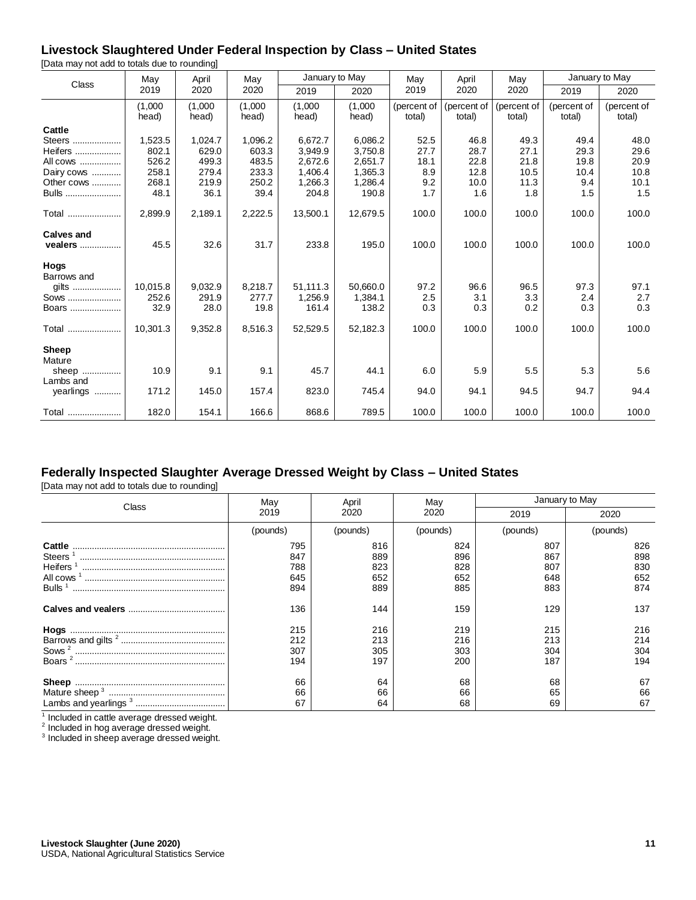# **Livestock Slaughtered Under Federal Inspection by Class – United States**

[Data may not add to totals due to rounding]

| <b>Class</b>      | May              | April            | May              | January to May   |                  | May                   | April                 | May                   |                       | January to May        |
|-------------------|------------------|------------------|------------------|------------------|------------------|-----------------------|-----------------------|-----------------------|-----------------------|-----------------------|
|                   | 2019             | 2020             | 2020             | 2019             | 2020             | 2019                  | 2020                  | 2020                  | 2019                  | 2020                  |
|                   | (1,000)<br>head) | (1,000)<br>head) | (1,000)<br>head) | (1,000)<br>head) | (1,000)<br>head) | (percent of<br>total) | (percent of<br>total) | (percent of<br>total) | (percent of<br>total) | (percent of<br>total) |
| Cattle            |                  |                  |                  |                  |                  |                       |                       |                       |                       |                       |
| Steers            | 1,523.5          | 1,024.7          | 1,096.2          | 6,672.7          | 6,086.2          | 52.5                  | 46.8                  | 49.3                  | 49.4                  | 48.0                  |
| Heifers           | 802.1            | 629.0            | 603.3            | 3,949.9          | 3,750.8          | 27.7                  | 28.7                  | 27.1                  | 29.3                  | 29.6                  |
| All cows          | 526.2            | 499.3            | 483.5            | 2,672.6          | 2,651.7          | 18.1                  | 22.8                  | 21.8                  | 19.8                  | 20.9                  |
| Dairy cows        | 258.1            | 279.4            | 233.3            | 1,406.4          | 1,365.3          | 8.9                   | 12.8                  | 10.5                  | 10.4                  | 10.8                  |
| Other cows        | 268.1            | 219.9            | 250.2            | 1,266.3          | 1,286.4          | 9.2                   | 10.0                  | 11.3                  | 9.4                   | 10.1                  |
| <b>Bulls</b><br>  | 48.1             | 36.1             | 39.4             | 204.8            | 190.8            | 1.7                   | 1.6                   | 1.8                   | 1.5                   | 1.5                   |
| Total             | 2,899.9          | 2,189.1          | 2,222.5          | 13,500.1         | 12,679.5         | 100.0                 | 100.0                 | 100.0                 | 100.0                 | 100.0                 |
| <b>Calves and</b> |                  |                  |                  |                  |                  |                       |                       |                       |                       |                       |
| vealers           | 45.5             | 32.6             | 31.7             | 233.8            | 195.0            | 100.0                 | 100.0                 | 100.0                 | 100.0                 | 100.0                 |
| <b>Hogs</b>       |                  |                  |                  |                  |                  |                       |                       |                       |                       |                       |
| Barrows and       |                  |                  |                  |                  |                  |                       |                       |                       |                       |                       |
| gilts             | 10,015.8         | 9,032.9          | 8,218.7          | 51,111.3         | 50,660.0         | 97.2                  | 96.6                  | 96.5                  | 97.3                  | 97.1                  |
| Sows              | 252.6            | 291.9            | 277.7            | 1,256.9          | 1.384.1          | 2.5                   | 3.1                   | 3.3                   | 2.4                   | 2.7                   |
| Boars             | 32.9             | 28.0             | 19.8             | 161.4            | 138.2            | 0.3                   | 0.3                   | 0.2                   | 0.3                   | 0.3                   |
| Total             | 10,301.3         | 9,352.8          | 8,516.3          | 52,529.5         | 52,182.3         | 100.0                 | 100.0                 | 100.0                 | 100.0                 | 100.0                 |
| Sheep             |                  |                  |                  |                  |                  |                       |                       |                       |                       |                       |
| Mature            |                  |                  |                  |                  |                  |                       |                       |                       |                       |                       |
| sheep             | 10.9             | 9.1              | 9.1              | 45.7             | 44.1             | 6.0                   | 5.9                   | 5.5                   | 5.3                   | 5.6                   |
| Lambs and         |                  |                  |                  |                  |                  |                       |                       |                       |                       |                       |
| yearlings         | 171.2            | 145.0            | 157.4            | 823.0            | 745.4            | 94.0                  | 94.1                  | 94.5                  | 94.7                  | 94.4                  |
| Total             | 182.0            | 154.1            | 166.6            | 868.6            | 789.5            | 100.0                 | 100.0                 | 100.0                 | 100.0                 | 100.0                 |

#### **Federally Inspected Slaughter Average Dressed Weight by Class – United States**

[Data may not add to totals due to rounding]

|                                                                                   | May                             | April                           | May                             | January to May                  |                                 |
|-----------------------------------------------------------------------------------|---------------------------------|---------------------------------|---------------------------------|---------------------------------|---------------------------------|
| Class                                                                             | 2019                            | 2020                            | 2020                            | 2019                            | 2020                            |
|                                                                                   | (pounds)                        | (pounds)                        | (pounds)                        | (pounds)                        | (pounds)                        |
| Cattle<br>Steers <sup>1</sup><br>Heifers<br>All cows <sup>1</sup><br><b>Bulls</b> | 795<br>847<br>788<br>645<br>894 | 816<br>889<br>823<br>652<br>889 | 824<br>896<br>828<br>652<br>885 | 807<br>867<br>807<br>648<br>883 | 826<br>898<br>830<br>652<br>874 |
|                                                                                   | 136                             | 144                             | 159                             | 129                             | 137                             |
|                                                                                   | 215<br>212<br>307<br>194        | 216<br>213<br>305<br>197        | 219<br>216<br>303<br>200        | 215<br>213<br>304<br>187        | 216<br>214<br>304<br>194        |
|                                                                                   | 66<br>66<br>67                  | 64<br>66<br>64                  | 68<br>66<br>68                  | 68<br>65<br>69                  | 67<br>66<br>67                  |

<sup>1</sup> Included in cattle average dressed weight.<br><sup>2</sup> Included in hog average dressed weight.<br><sup>3</sup> Included in sheep average dressed weight.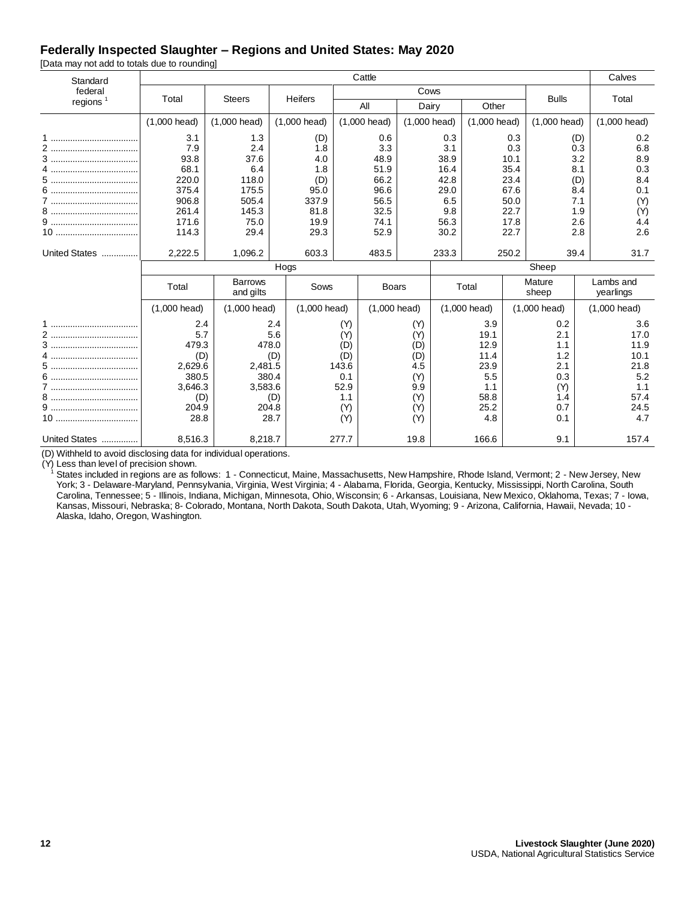#### **Federally Inspected Slaughter – Regions and United States: May 2020**

[Data may not add to totals due to rounding]

| Standard               |                                                                                   |                                               |                                       |                                                                       | Cattle                               |                                                                    |                                    |                                                                          |                                      |                                                                    | Calves                                                                   |
|------------------------|-----------------------------------------------------------------------------------|-----------------------------------------------|---------------------------------------|-----------------------------------------------------------------------|--------------------------------------|--------------------------------------------------------------------|------------------------------------|--------------------------------------------------------------------------|--------------------------------------|--------------------------------------------------------------------|--------------------------------------------------------------------------|
| federal<br>regions $1$ | Total                                                                             | <b>Steers</b>                                 | Heifers                               |                                                                       | All                                  | Cows<br>Dairy                                                      |                                    | Other                                                                    |                                      | <b>Bulls</b>                                                       | Total                                                                    |
|                        | $(1,000$ head)                                                                    | $(1,000 \text{ head})$                        | $(1,000 \text{ head})$                |                                                                       | $(1,000 \text{ head})$               |                                                                    | $(1,000 \text{ head})$             | $(1,000 \text{ head})$                                                   |                                      | $(1,000$ head)                                                     | $(1,000$ head)                                                           |
| $\overline{2}$         | 3.1<br>7.9<br>93.8<br>68.1<br>220.0                                               | 1.3<br>2.4<br>37.6<br>6.4<br>118.0            | (D)<br>1.8<br>4.0<br>1.8<br>(D)       |                                                                       | 0.6<br>3.3<br>48.9<br>51.9<br>66.2   |                                                                    | 0.3<br>3.1<br>38.9<br>16.4<br>42.8 |                                                                          | 0.3<br>0.3<br>10.1<br>35.4<br>23.4   | (D)<br>0.3<br>3.2<br>8.1<br>(D)                                    | 0.2<br>6.8<br>8.9<br>0.3<br>8.4                                          |
|                        | 375.4<br>906.8<br>261.4<br>171.6<br>114.3                                         | 175.5<br>505.4<br>145.3<br>75.0<br>29.4       | 95.0<br>337.9<br>81.8<br>19.9<br>29.3 |                                                                       | 96.6<br>56.5<br>32.5<br>74.1<br>52.9 |                                                                    | 29.0<br>6.5<br>9.8<br>56.3<br>30.2 |                                                                          | 67.6<br>50.0<br>22.7<br>17.8<br>22.7 | 8.4<br>7.1<br>1.9<br>2.6<br>2.8                                    | 0.1<br>(Y)<br>(Y)<br>4.4<br>2.6                                          |
| United States          | 2,222.5                                                                           | 1,096.2                                       | 603.3                                 |                                                                       | 483.5                                |                                                                    | 233.3                              |                                                                          | 250.2                                | 39.4                                                               | 31.7                                                                     |
|                        |                                                                                   |                                               | Hogs                                  |                                                                       |                                      |                                                                    |                                    |                                                                          |                                      | Sheep                                                              |                                                                          |
|                        | Total                                                                             | <b>Barrows</b><br>and gilts                   | Sows                                  |                                                                       | <b>Boars</b>                         |                                                                    |                                    | Total                                                                    |                                      | Mature<br>sheep                                                    | Lambs and<br>yearlings                                                   |
|                        | $(1,000 \text{ head})$                                                            | $(1,000$ head)                                | $(1,000 \text{ head})$                |                                                                       | $(1,000 \text{ head})$               |                                                                    |                                    | $(1,000 \text{ head})$                                                   |                                      | $(1,000 \text{ head})$                                             | $(1,000$ head)                                                           |
| 4<br>5.<br>            | 2.4<br>5.7<br>479.3<br>(D)<br>2,629.6<br>380.5<br>3,646.3<br>(D)<br>204.9<br>28.8 | 478.0<br>2,481.5<br>380.4<br>3,583.6<br>204.8 | 2.4<br>5.6<br>(D)<br>(D)<br>28.7      | (Y)<br>(Y)<br>(D)<br>(D)<br>143.6<br>0.1<br>52.9<br>1.1<br>(Y)<br>(Y) |                                      | (Y)<br>(Y)<br>(D)<br>(D)<br>4.5<br>(Y)<br>9.9<br>(Y)<br>(Y)<br>(Y) |                                    | 3.9<br>19.1<br>12.9<br>11.4<br>23.9<br>5.5<br>1.1<br>58.8<br>25.2<br>4.8 |                                      | 0.2<br>2.1<br>1.1<br>1.2<br>2.1<br>0.3<br>(Y)<br>1.4<br>0.7<br>0.1 | 3.6<br>17.0<br>11.9<br>10.1<br>21.8<br>5.2<br>1.1<br>57.4<br>24.5<br>4.7 |
| United States          | 8,516.3                                                                           | 8,218.7                                       |                                       | 277.7                                                                 |                                      | 19.8                                                               |                                    | 166.6                                                                    |                                      | 9.1                                                                | 157.4                                                                    |

(D) Withheld to avoid disclosing data for individual operations.

(Y) Less than level of precision shown.

<sup>1</sup> States included in regions are as follows: 1 - Connecticut, Maine, Massachusetts, New Hampshire, Rhode Island, Vermont; 2 - New Jersey, New York; 3 - Delaware-Maryland, Pennsylvania, Virginia, West Virginia; 4 - Alabama, Florida, Georgia, Kentucky, Mississippi, North Carolina, South Carolina, Tennessee; 5 - Illinois, Indiana, Michigan, Minnesota, Ohio, Wisconsin; 6 - Arkansas, Louisiana, New Mexico, Oklahoma, Texas; 7 - Iowa, Kansas, Missouri, Nebraska; 8- Colorado, Montana, North Dakota, South Dakota, Utah, Wyoming; 9 - Arizona, California, Hawaii, Nevada; 10 - Alaska, Idaho, Oregon, Washington.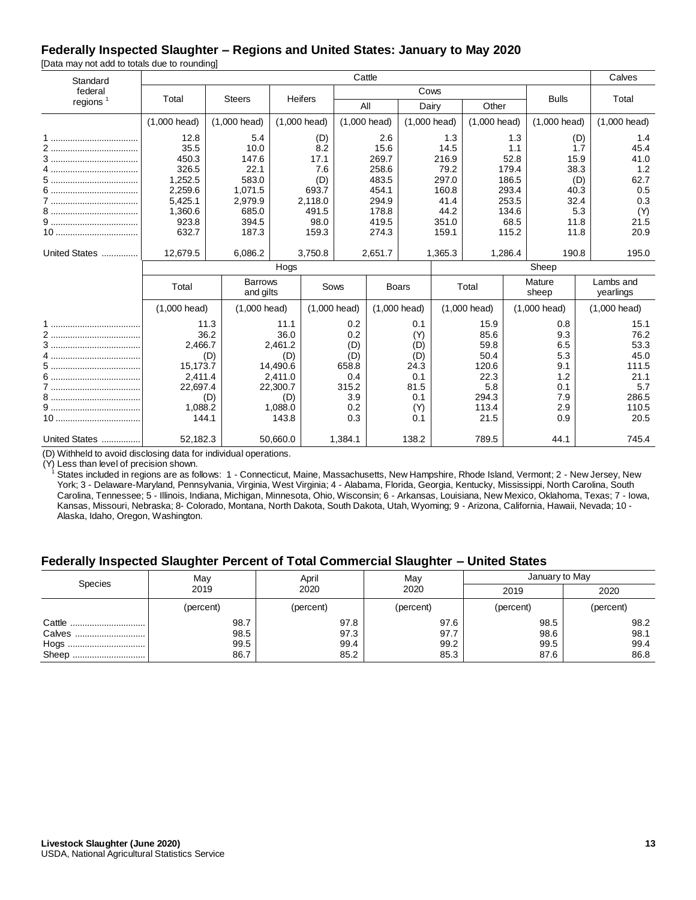#### **Federally Inspected Slaughter – Regions and United States: January to May 2020**

[Data may not add to totals due to rounding]

| Standard             | Cattle         |                             |                        |                |                |              |                |                        |                        |              |                        | Calves |                        |  |
|----------------------|----------------|-----------------------------|------------------------|----------------|----------------|--------------|----------------|------------------------|------------------------|--------------|------------------------|--------|------------------------|--|
| federal              | Total          | <b>Steers</b>               | <b>Heifers</b>         |                | Cows           |              |                |                        |                        | <b>Bulls</b> |                        | Total  |                        |  |
| regions <sup>1</sup> |                |                             |                        |                | All            |              | Dairy          |                        | Other                  |              |                        |        |                        |  |
|                      | $(1,000$ head) | $(1,000$ head)              | $(1,000 \text{ head})$ |                | $(1,000$ head) |              |                | $(1,000 \text{ head})$ | $(1,000 \text{ head})$ |              | $(1,000 \text{ head})$ |        | $(1,000 \text{ head})$ |  |
|                      | 12.8           | 5.4                         |                        | (D)            |                | 2.6          |                | 1.3                    |                        | 1.3          | (D)                    |        | 1.4                    |  |
|                      | 35.5           | 10.0                        |                        | 8.2            |                | 15.6         |                | 14.5                   |                        | 1.1          |                        | 1.7    | 45.4                   |  |
|                      | 450.3          | 147.6                       |                        | 17.1           |                | 269.7        |                | 216.9                  |                        | 52.8         | 15.9                   |        | 41.0                   |  |
|                      | 326.5          | 22.1                        |                        | 7.6            |                | 258.6        |                | 79.2                   |                        | 179.4        | 38.3                   |        | 1.2                    |  |
|                      | 1,252.5        | 583.0                       |                        | (D)            |                | 483.5        |                | 297.0                  |                        | 186.5        | (D)                    |        | 62.7                   |  |
|                      | 2,259.6        | 1,071.5                     |                        | 693.7          |                | 454.1        |                | 160.8                  |                        | 293.4        | 40.3                   |        | 0.5                    |  |
|                      | 5,425.1        | 2,979.9                     |                        | 2,118.0        |                | 294.9        |                | 41.4                   |                        | 253.5        | 32.4                   |        | 0.3                    |  |
|                      | 1,360.6        | 685.0                       |                        | 491.5          |                | 178.8        |                | 44.2                   |                        | 134.6        |                        | 5.3    | (Y)                    |  |
|                      | 923.8          | 394.5                       |                        | 98.0           |                | 419.5        |                | 351.0                  |                        | 68.5         | 11.8                   |        | 21.5                   |  |
|                      | 632.7          | 187.3                       |                        | 159.3          |                | 274.3        |                | 159.1                  |                        | 115.2        | 11.8                   |        | 20.9                   |  |
| United States        | 12,679.5       | 6,086.2                     |                        | 3,750.8        |                | 2,651.7      |                | 1,365.3                |                        | 1,286.4      | 190.8                  |        | 195.0                  |  |
|                      |                | Hogs                        |                        |                |                |              |                |                        | Sheep                  |              |                        |        |                        |  |
|                      | Total          | <b>Barrows</b><br>and gilts |                        | Sows           |                | <b>Boars</b> |                | Total                  |                        |              | Mature<br>sheep        |        | Lambs and<br>yearlings |  |
|                      | $(1,000$ head) | $(1,000$ head)              |                        | $(1,000$ head) |                |              | $(1,000$ head) |                        | $(1,000 \text{ head})$ |              | $(1,000 \text{ head})$ |        | $(1,000$ head)         |  |
|                      |                | 11.3                        | 11.1                   |                | 0.2            |              | 0.1            |                        | 15.9                   |              | 0.8                    |        | 15.1                   |  |
|                      |                | 36.2                        | 36.0                   | 0.2            |                | (Y)          |                |                        | 85.6                   |              | 9.3                    |        | 76.2                   |  |
|                      | 2,466.7        |                             | 2,461.2                |                | (D)            |              | (D)            |                        | 59.8                   |              | 6.5                    |        | 53.3                   |  |
|                      |                | (D)                         | (D)                    |                | (D)            |              | (D)            |                        | 50.4                   |              | 5.3                    |        | 45.0                   |  |
|                      | 15.173.7       |                             | 14,490.6               |                | 658.8          |              | 24.3           |                        | 120.6                  |              | 9.1                    |        | 111.5                  |  |
|                      | 2,411.4        |                             | 2,411.0                |                | 0.4            |              | 0.1            |                        | 22.3                   |              | 1.2                    |        | 21.1                   |  |
|                      | 22,697.4       |                             | 22,300.7               |                | 315.2          |              | 81.5           |                        | 5.8                    |              | 0.1                    |        | 5.7                    |  |
|                      |                | (D)                         | (D)                    |                | 3.9            |              | 0.1            |                        | 294.3                  |              | 7.9                    |        | 286.5                  |  |
|                      | 1,088.2        |                             | 1,088.0                |                | 0.2            |              | (Y)            |                        | 113.4                  |              | 2.9                    |        | 110.5                  |  |
|                      | 144.1          |                             | 143.8                  |                | 0.3            |              | 0.1            |                        | 21.5                   |              | 0.9                    |        | 20.5                   |  |
| United States        | 52,182.3       |                             | 50,660.0               |                | 1,384.1        |              | 138.2          |                        | 789.5                  |              | 44.1                   |        | 745.4                  |  |

(D) Withheld to avoid disclosing data for individual operations.

(Y) Less than level of precision shown.

States included in regions are as follows: 1 - Connecticut, Maine, Massachusetts, New Hampshire, Rhode Island, Vermont; 2 - New Jersey, New York; 3 - Delaware-Maryland, Pennsylvania, Virginia, West Virginia; 4 - Alabama, Florida, Georgia, Kentucky, Mississippi, North Carolina, South Carolina, Tennessee; 5 - Illinois, Indiana, Michigan, Minnesota, Ohio, Wisconsin; 6 - Arkansas, Louisiana, New Mexico, Oklahoma, Texas; 7 - Iowa, Kansas, Missouri, Nebraska; 8- Colorado, Montana, North Dakota, South Dakota, Utah, Wyoming; 9 - Arizona, California, Hawaii, Nevada; 10 - Alaska, Idaho, Oregon, Washington.

#### **Federally Inspected Slaughter Percent of Total Commercial Slaughter – United States**

| <b>Species</b> | May          | April        | May          | January to May |              |  |  |
|----------------|--------------|--------------|--------------|----------------|--------------|--|--|
|                | 2019         | 2020         | 2020         | 2019           | 2020         |  |  |
|                | (percent)    | (percent)    | (percent)    | (percent)      | (percent)    |  |  |
| Cattle         | 98.7         | 97.8         | 97.6         | 98.5           | 98.2         |  |  |
| Calves         | 98.5<br>99.5 | 97.3<br>99.4 | 97.7<br>99.2 | 98.6<br>99.5   | 98.1<br>99.4 |  |  |
|                | 86.7         | 85.2         | 85.3         | 87.6           | 86.8         |  |  |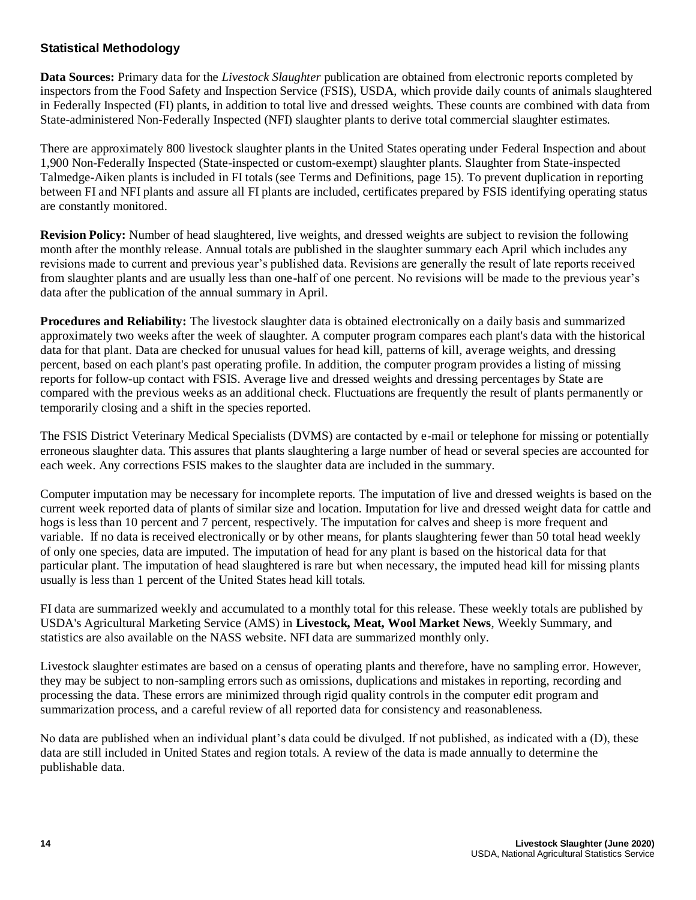#### **Statistical Methodology**

**Data Sources:** Primary data for the *Livestock Slaughter* publication are obtained from electronic reports completed by inspectors from the Food Safety and Inspection Service (FSIS), USDA, which provide daily counts of animals slaughtered in Federally Inspected (FI) plants, in addition to total live and dressed weights. These counts are combined with data from State-administered Non-Federally Inspected (NFI) slaughter plants to derive total commercial slaughter estimates.

There are approximately 800 livestock slaughter plants in the United States operating under Federal Inspection and about 1,900 Non-Federally Inspected (State-inspected or custom-exempt) slaughter plants. Slaughter from State-inspected Talmedge-Aiken plants is included in FI totals (see Terms and Definitions, page 15). To prevent duplication in reporting between FI and NFI plants and assure all FI plants are included, certificates prepared by FSIS identifying operating status are constantly monitored.

**Revision Policy:** Number of head slaughtered, live weights, and dressed weights are subject to revision the following month after the monthly release. Annual totals are published in the slaughter summary each April which includes any revisions made to current and previous year's published data. Revisions are generally the result of late reports received from slaughter plants and are usually less than one-half of one percent. No revisions will be made to the previous year's data after the publication of the annual summary in April.

**Procedures and Reliability:** The livestock slaughter data is obtained electronically on a daily basis and summarized approximately two weeks after the week of slaughter. A computer program compares each plant's data with the historical data for that plant. Data are checked for unusual values for head kill, patterns of kill, average weights, and dressing percent, based on each plant's past operating profile. In addition, the computer program provides a listing of missing reports for follow-up contact with FSIS. Average live and dressed weights and dressing percentages by State are compared with the previous weeks as an additional check. Fluctuations are frequently the result of plants permanently or temporarily closing and a shift in the species reported.

The FSIS District Veterinary Medical Specialists (DVMS) are contacted by e-mail or telephone for missing or potentially erroneous slaughter data. This assures that plants slaughtering a large number of head or several species are accounted for each week. Any corrections FSIS makes to the slaughter data are included in the summary.

Computer imputation may be necessary for incomplete reports. The imputation of live and dressed weights is based on the current week reported data of plants of similar size and location. Imputation for live and dressed weight data for cattle and hogs is less than 10 percent and 7 percent, respectively. The imputation for calves and sheep is more frequent and variable. If no data is received electronically or by other means, for plants slaughtering fewer than 50 total head weekly of only one species, data are imputed. The imputation of head for any plant is based on the historical data for that particular plant. The imputation of head slaughtered is rare but when necessary, the imputed head kill for missing plants usually is less than 1 percent of the United States head kill totals.

FI data are summarized weekly and accumulated to a monthly total for this release. These weekly totals are published by USDA's Agricultural Marketing Service (AMS) in **Livestock, Meat, Wool Market News**, Weekly Summary, and statistics are also available on the NASS website. NFI data are summarized monthly only.

Livestock slaughter estimates are based on a census of operating plants and therefore, have no sampling error. However, they may be subject to non-sampling errors such as omissions, duplications and mistakes in reporting, recording and processing the data. These errors are minimized through rigid quality controls in the computer edit program and summarization process, and a careful review of all reported data for consistency and reasonableness.

No data are published when an individual plant's data could be divulged. If not published, as indicated with a (D), these data are still included in United States and region totals. A review of the data is made annually to determine the publishable data.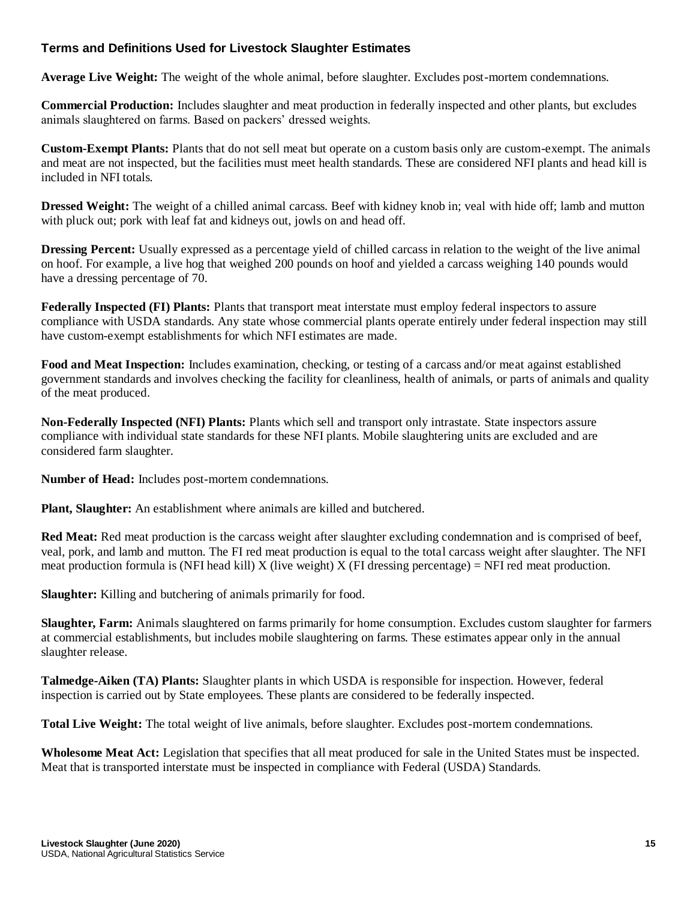## **Terms and Definitions Used for Livestock Slaughter Estimates**

**Average Live Weight:** The weight of the whole animal, before slaughter. Excludes post-mortem condemnations.

**Commercial Production:** Includes slaughter and meat production in federally inspected and other plants, but excludes animals slaughtered on farms. Based on packers' dressed weights.

**Custom-Exempt Plants:** Plants that do not sell meat but operate on a custom basis only are custom-exempt. The animals and meat are not inspected, but the facilities must meet health standards. These are considered NFI plants and head kill is included in NFI totals.

**Dressed Weight:** The weight of a chilled animal carcass. Beef with kidney knob in; veal with hide off; lamb and mutton with pluck out; pork with leaf fat and kidneys out, jowls on and head off.

**Dressing Percent:** Usually expressed as a percentage yield of chilled carcass in relation to the weight of the live animal on hoof. For example, a live hog that weighed 200 pounds on hoof and yielded a carcass weighing 140 pounds would have a dressing percentage of 70.

**Federally Inspected (FI) Plants:** Plants that transport meat interstate must employ federal inspectors to assure compliance with USDA standards. Any state whose commercial plants operate entirely under federal inspection may still have custom-exempt establishments for which NFI estimates are made.

**Food and Meat Inspection:** Includes examination, checking, or testing of a carcass and/or meat against established government standards and involves checking the facility for cleanliness, health of animals, or parts of animals and quality of the meat produced.

**Non-Federally Inspected (NFI) Plants:** Plants which sell and transport only intrastate. State inspectors assure compliance with individual state standards for these NFI plants. Mobile slaughtering units are excluded and are considered farm slaughter.

**Number of Head:** Includes post-mortem condemnations.

**Plant, Slaughter:** An establishment where animals are killed and butchered.

**Red Meat:** Red meat production is the carcass weight after slaughter excluding condemnation and is comprised of beef, veal, pork, and lamb and mutton. The FI red meat production is equal to the total carcass weight after slaughter. The NFI meat production formula is (NFI head kill) X (live weight) X (FI dressing percentage) = NFI red meat production.

**Slaughter:** Killing and butchering of animals primarily for food.

**Slaughter, Farm:** Animals slaughtered on farms primarily for home consumption. Excludes custom slaughter for farmers at commercial establishments, but includes mobile slaughtering on farms. These estimates appear only in the annual slaughter release.

**Talmedge-Aiken (TA) Plants:** Slaughter plants in which USDA is responsible for inspection. However, federal inspection is carried out by State employees. These plants are considered to be federally inspected.

**Total Live Weight:** The total weight of live animals, before slaughter. Excludes post-mortem condemnations.

**Wholesome Meat Act:** Legislation that specifies that all meat produced for sale in the United States must be inspected. Meat that is transported interstate must be inspected in compliance with Federal (USDA) Standards.